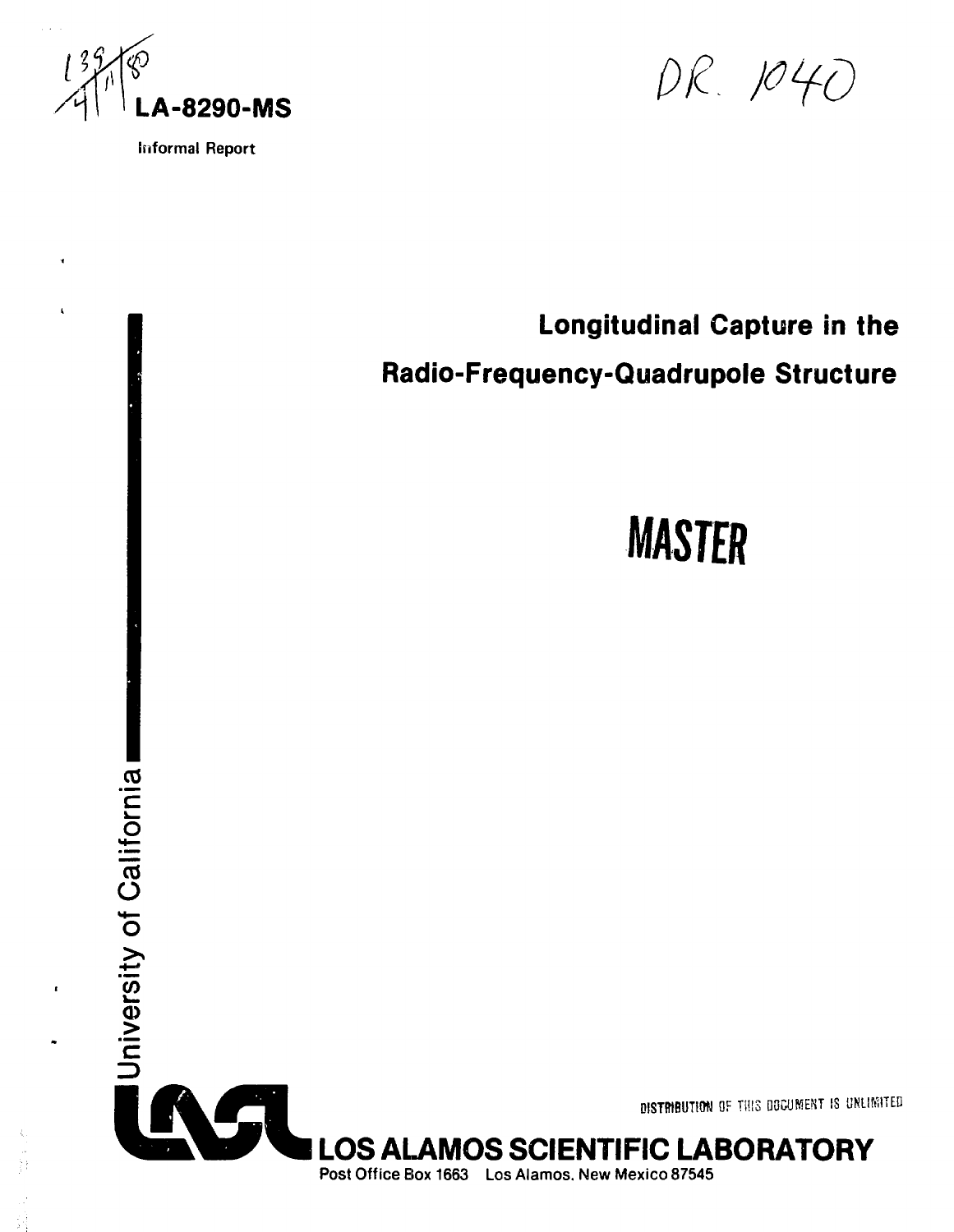

 $\mathbf{r}$ 

**Informal Report**

DR. 1040

# **CO "c**  $\tilde{\mathbf{\omega}}$ **CO 0)** Longitudinal Capture in the Radio-Frequency-Quadrupole Structure **MASTER DISTfflBUTlWI** OF THIS DOCUMENT IS UNLIMITED LOS ALAMOS SCIENTIFIC **LABORATORY**

**Post Office Box 1663 Los Alamos. New Mexico 87545**

**O**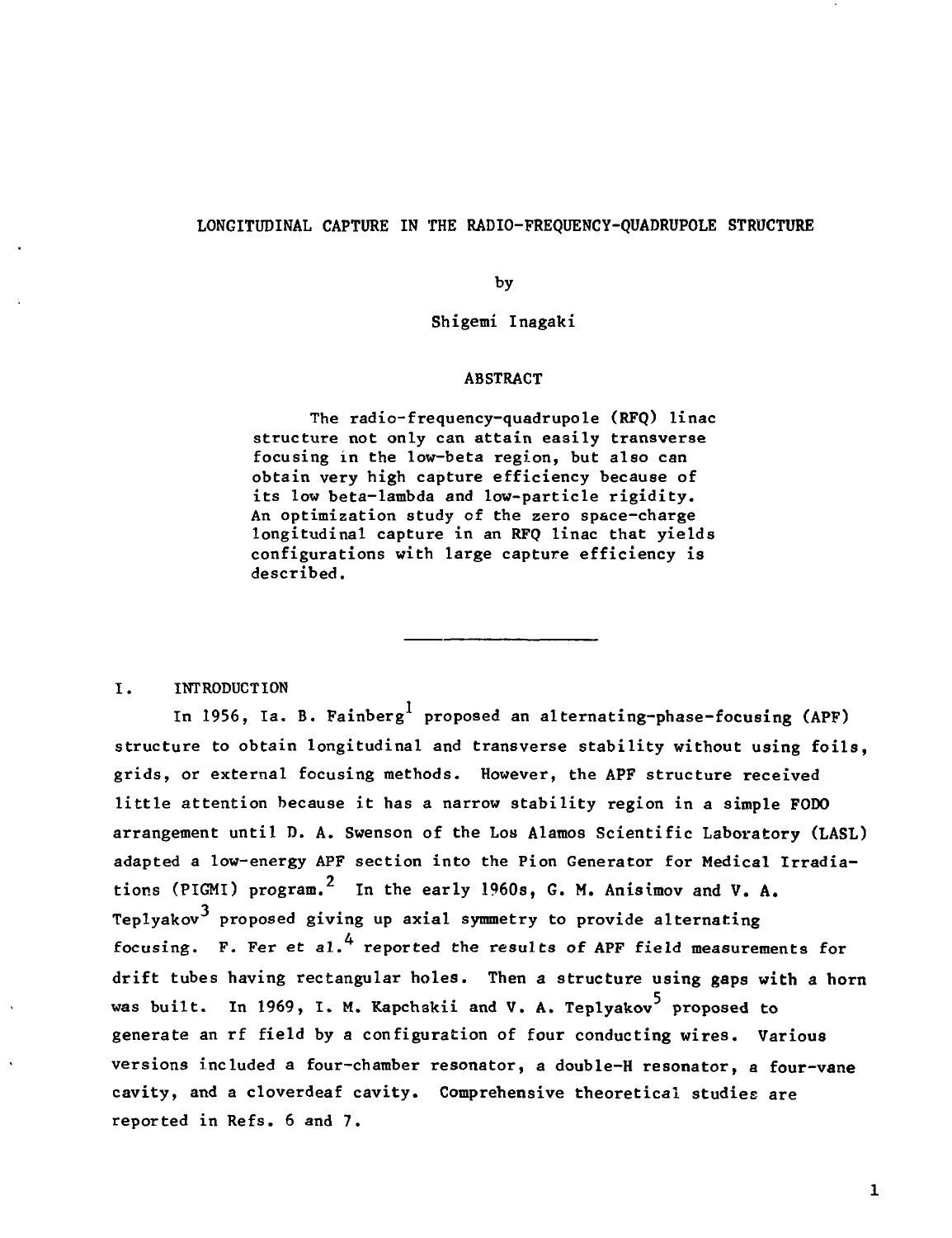# LONGITUDINAL CAPTURE IN THE RADIO-FREQUENCY-QUADRUPOLE STRUCTURE

by

Shigemi Inagaki

## ABSTRACT

The radio-frequency-quadrupole (RFQ) linac structure not only can attain easily transverse focusing in the low-beta region, but also can obtain very high capture efficiency because of its low beta-lambda and low-particle rigidity. An optimization study of the zero space-charge longitudinal capture in an RFQ linac that yields configurations with large capture efficiency is described.

I. INTRODUCTION

In 1956, Ia. B. Fainberg<sup>1</sup> proposed an alternating-phase-focusing (APF) structure to obtain longitudinal and transverse stability without using foils, grids, or external focusing methods. However, the APF structure received little attention because it has a narrow stability region in a simple FODO arrangement until D. A. Swenson of the Los Alamos Scientific Laboratory (LASL) adapted a low-energy APF section into the Pion Generator for Medical Irradiations (PIGMI) program.<sup>2</sup> In the early 1960s, G. M. Anisimov and V. A. Teplyakov<sup>3</sup> proposed giving up axial symmetry to provide alternating focusing. F. Fer et al.<sup>4</sup> reported the results of APF field measurements for drift tubes having rectangular holes. Then a structure using **gaps with a horn** was built. In 1969, I. M. Kapchskii and V. A. Teplyakov<sup>5</sup> proposed to generate an rf field by a configuration of four conducting wires. Various versions included a four-chamber resonator, a double-H resonator, a four-vane cavity, and a cloverdeaf cavity. Comprehensive theoretical studies are reported in Refs. 6 and 7.

 $\mathbf{1}$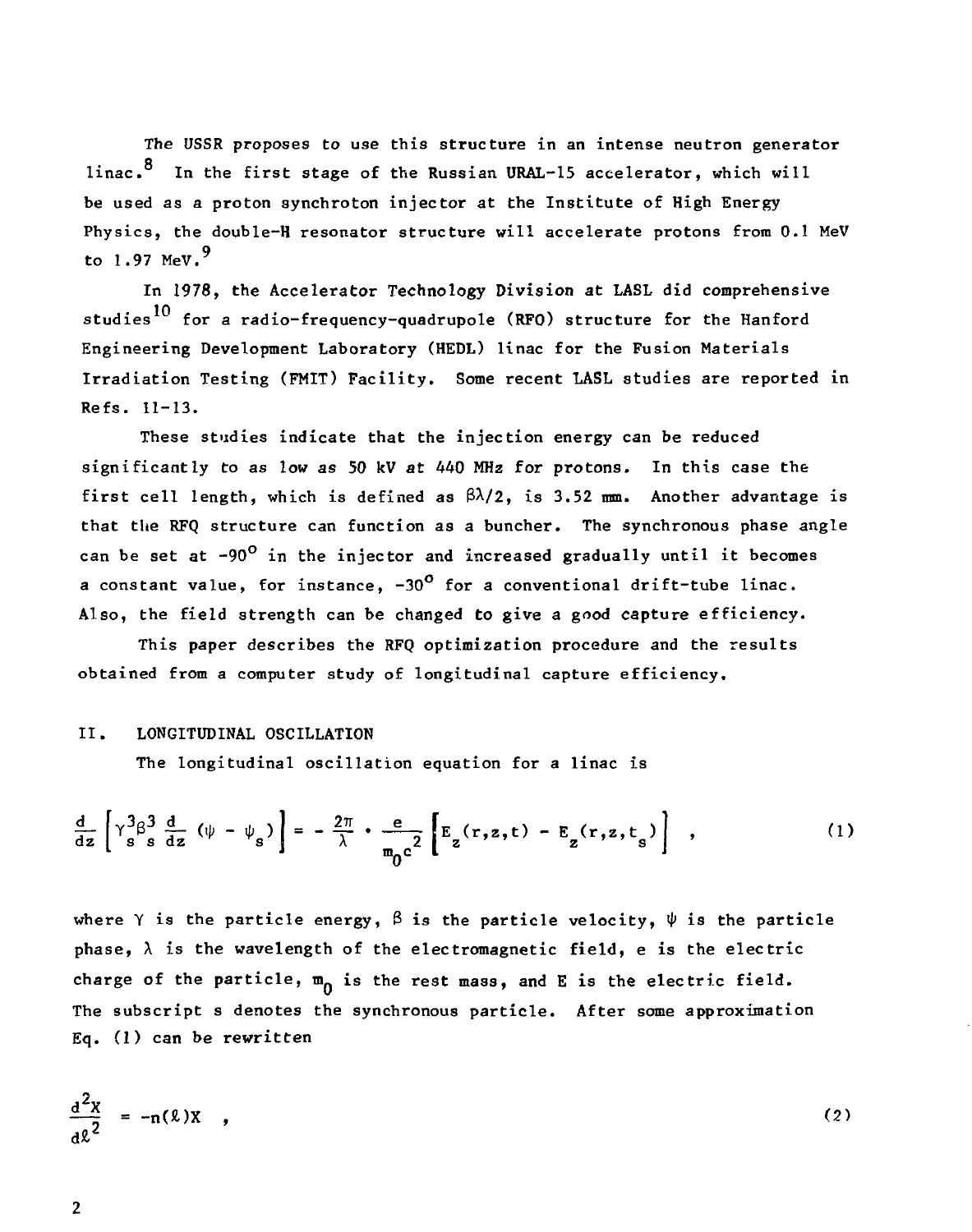The USSR proposes to use this structure in an intense neutron generator linac. $^8$  In the first stage of the Russian URAL-15 accelerator, which will be used as a proton synchroton injector at the Institute of High Energy Physics, the double-H resonator structure will accelerate protons from 0-1 MeV to 1.97 MeV. $9$ 

In 1978, the Accelerator Technology Division at LASL did comprehensive studies<sup>10</sup> for a radio-frequency-quadrupole (RFO) structure for the Hanford Engineering Development Laboratory (HEDL) linac for the Fusion Materials Irradiation Testing (FMIT) Facility. Some recent LASL studies are reported in Refs. 11-13.

These studies indicate that the injection energy can be reduced significantly to as low as 50 kV at 440 MHz for protons. In this case the first cell length, which is defined as  $\beta\lambda/2$ , is 3.52 mm. Another advantage is that the RFQ structure can function as a buncher. The synchronous phase angle can be set at  $-90^{\circ}$  in the injector and increased gradually until it becomes a constant value, for instance,  $-30^{\circ}$  for a conventional drift-tube linac. Also, the field strength can be changed to give a good capture efficiency.

This paper describes the RFQ optimization procedure and the results obtained from a computer study of longitudinal capture efficiency.

## II. LONGITUDINAL OSCILLATION

The longitudinal oscillation equation for a linac is

$$
\frac{d}{dz}\left[\gamma_s^3\beta_s^3\frac{d}{dz}\left(\psi-\psi_s\right)\right] = -\frac{2\pi}{\lambda}\cdot\frac{e}{m_0c^2}\left[E_z(r,z,t) - E_z(r,z,t_s)\right],\qquad (1)
$$

where  $\gamma$  is the particle energy,  $\beta$  is the particle velocity,  $\psi$  is the particle phase,  $\lambda$  is the wavelength of the electromagnetic field, e is the electric charge of the particle,  $m_{\Omega}$  is the rest mass, and E is the electric field. The subscript s denotes the synchronous particle. After some approximation Eq. (1) can be rewritten

$$
\frac{d^2x}{d\ell^2} = -n(\ell)x \quad , \tag{2}
$$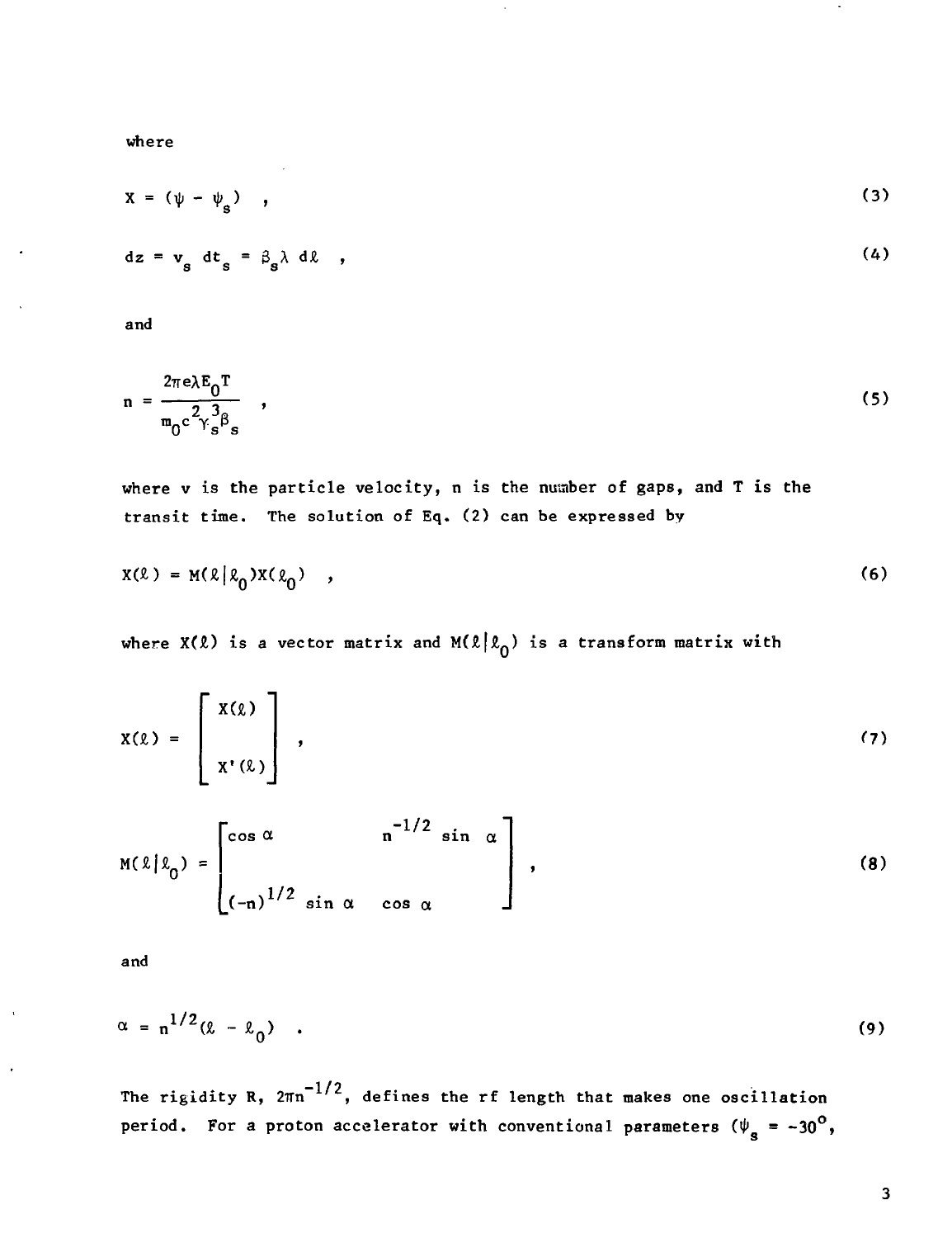where

$$
X = (\psi - \psi_s) \quad , \tag{3}
$$

$$
dz = v_g dt_g = \beta_g \lambda d\ell \quad , \tag{4}
$$

and

$$
n = \frac{2\pi e \lambda E_0 T}{m_0 c^2 \gamma_s^3 \beta_s} \quad , \tag{5}
$$

where v is the particle velocity, n is the number of gaps, and T is the transit time. The solution of Eq. (2) can be expressed by

$$
X(\ell) = M(\ell|\ell_0)X(\ell_0) , \qquad (6)
$$

where  $X(\ell)$  is a vector matrix and  $M(\ell|\ell_0)$  is a transform matrix with

$$
X(\ell) = \left[\begin{array}{c} X(\ell) \\ X'(\ell) \end{array}\right],
$$
 (7)

$$
M(\ell|\ell_0) = \begin{bmatrix} \cos \alpha & n^{-1/2} \sin \alpha \\ \frac{1}{2} \sin \alpha & \cos \alpha \end{bmatrix},
$$
 (8)

and

 $\ddot{\phantom{0}}$ 

$$
\alpha = n^{1/2}(\ell - \ell_0) \quad . \tag{9}
$$

The rigidity R,  $2\pi n^{-1/2}$ , defines the rf length that makes one oscillation period. For a proton accelerator with conventional parameters  $(\psi_{s} = -30^{\circ},$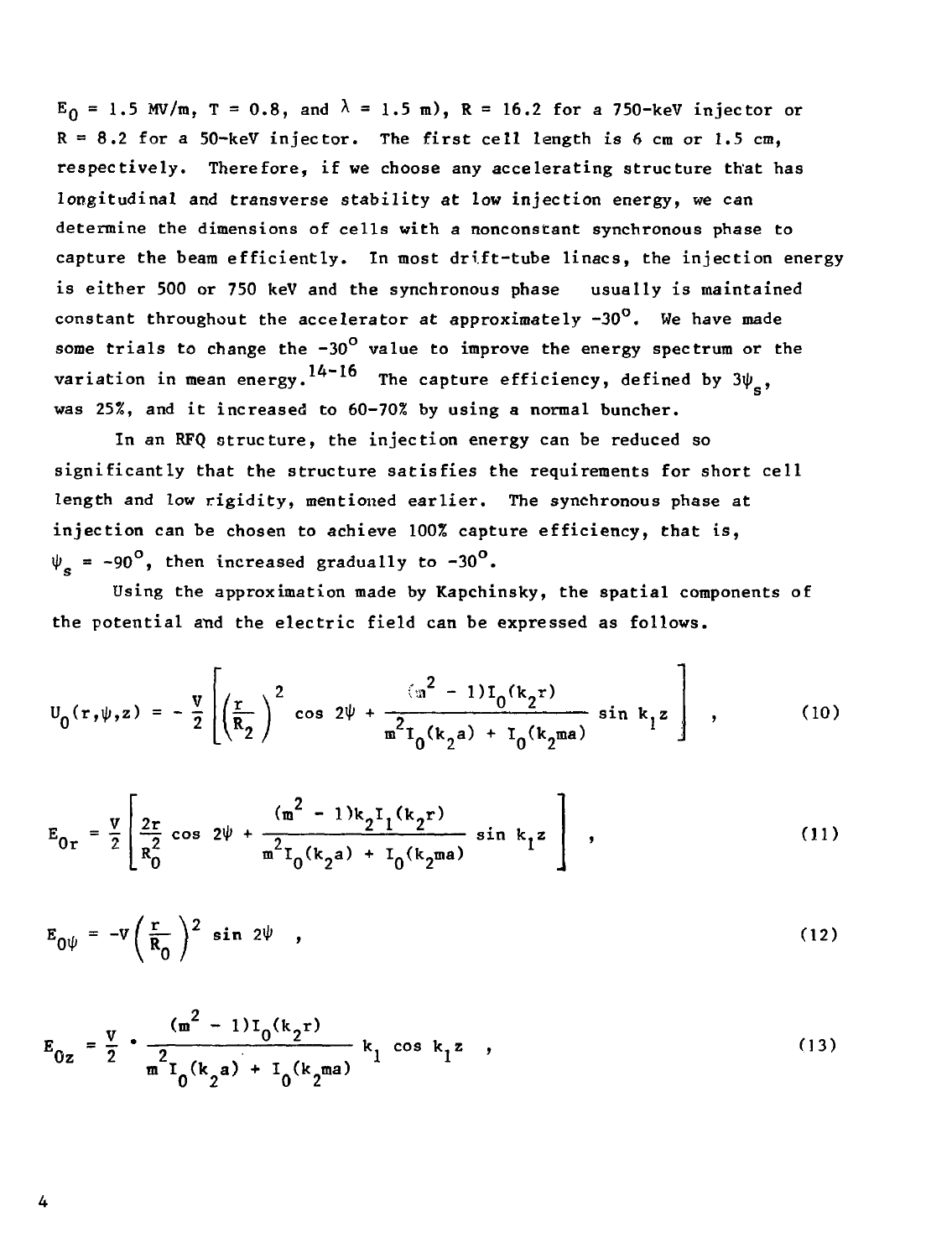$E_0 = 1.5$  MV/m, T = 0.8, and  $\lambda = 1.5$  m), R = 16.2 for a 750-keV injector or  $R = 8.2$  for a 50-keV injector. The first cell length is  $6 \text{ cm or } 1.5 \text{ cm}$ , respectively. Therefore, if we choose any accelerating structure that has longitudinal and transverse stability at low injection energy, we can determine the dimensions of cells with a nonconstant synchronous phase to capture the beam efficiently. In most drift-tube linacs, the injection energy is either 500 or 750 keV and the synchronous phase usually is maintained constant throughout the accelerator at approximately  $-30^{\circ}$ . We have made some trials to change the  $-30^{\circ}$  value to improve the energy spectrum or the variation in mean energy.<sup>14-16</sup> The capture efficiency, defined by  $3\psi_{\rm s}$ , was 25%, and it increased to 60-70% by using a normal buncher.

In an RFQ structure, the injection energy can be reduced so significantly that the structure satisfies the requirements for short cell length and low rigidity, mentioned earlier. The synchronous phase at injection can be chosen to achieve 100% capture efficiency, that is,  $\Psi_{\bf g}$  = -90<sup>0</sup>, then increased gradually to -30<sup>0</sup>.

Using the approximation made by Kapchinsky, the spatial components of the potential and the electric field can be expressed as follows.

$$
U_0(r,\psi,z) = -\frac{v}{2} \left[ \left( \frac{r}{R_2} \right)^2 \cos 2\psi + \frac{(u^2 - 1)I_0(k_2r)}{m^2 I_0(k_2a) + I_0(k_2ma)} \sin k_1 z \right],
$$
 (10)

$$
E_{0r} = \frac{v}{2} \left[ \frac{2r}{R_0^2} \cos 2\psi + \frac{(m^2 - 1)k_2 I_1(k_2 r)}{m^2 I_0(k_2 a) + I_0(k_2 m a)} \sin k_1 z \right],
$$
 (11)

$$
E_{0\psi} = -v \left(\frac{r}{R_0}\right)^2 \sin 2\psi , \qquad (12)
$$

$$
E_{0z} = \frac{v}{2} \cdot \frac{(m^2 - 1)I_0(k_2r)}{m^2I_0(k_2a) + I_0(k_2ma)} k_1 \cos k_1z
$$
 (13)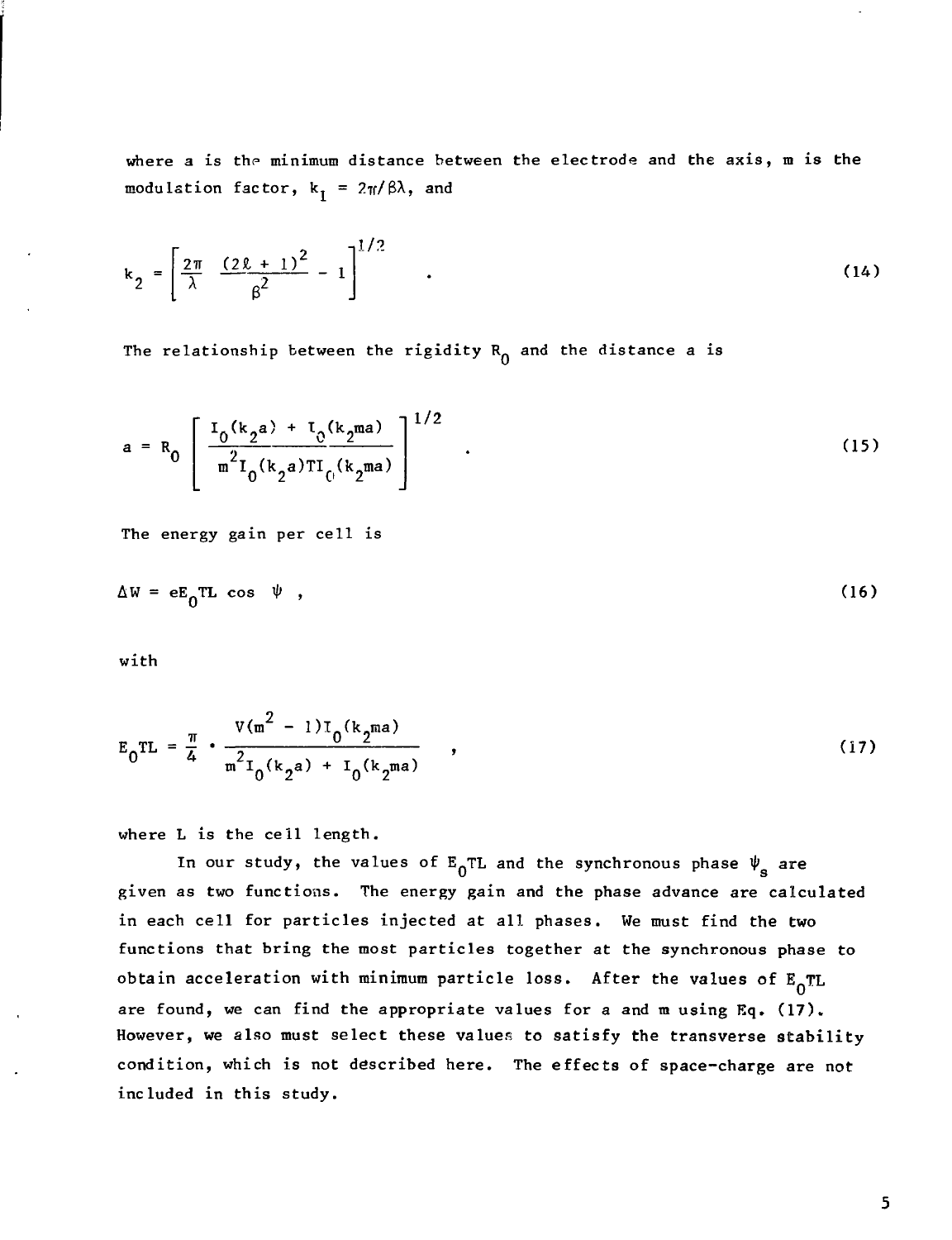where a is the minimum distance between the electrode and the axis, m is the modulation factor,  $k_1 = 2\pi/\beta\lambda$ , and

$$
k_2 = \left[\frac{2\pi}{\lambda} \frac{(2\ell + 1)^2}{\beta^2} - 1\right]^{1/2} \quad . \tag{14}
$$

The relationship between the rigidity  $R_{\Omega}$  and the distance a is

$$
a = R_0 \left[ \frac{I_0(k_2 a) + I_0(k_2 ma)}{m^2 I_0(k_2 a) T I_0(k_2 ma)} \right]^{1/2} .
$$
 (15)

The energy gain per cell is

$$
\Delta W = eE_0TL \cos \psi , \qquad (16)
$$

with

$$
E_0TL = \frac{\pi}{4} \cdot \frac{V(m^2 - 1)I_0(k_2ma)}{m^2I_0(k_2a) + I_0(k_2ma)},
$$
\n(17)

where L is the cell length.

In our study, the values of  $E_0TL$  and the synchronous phase  $\psi_{s}$  are given as two functions. The energy gain and the phase advance are calculated in each cell for particles injected at all phases. We must find the two functions that bring the most particles together at the synchronous phase to obtain acceleration with minimum particle loss. After the values of  $E_0TL$ are found, we can find the appropriate values for a and m using Eq. (17). However, we also must select these values to satisfy the transverse stability condition, which is not described here. The effects of space-charge are not included in this study.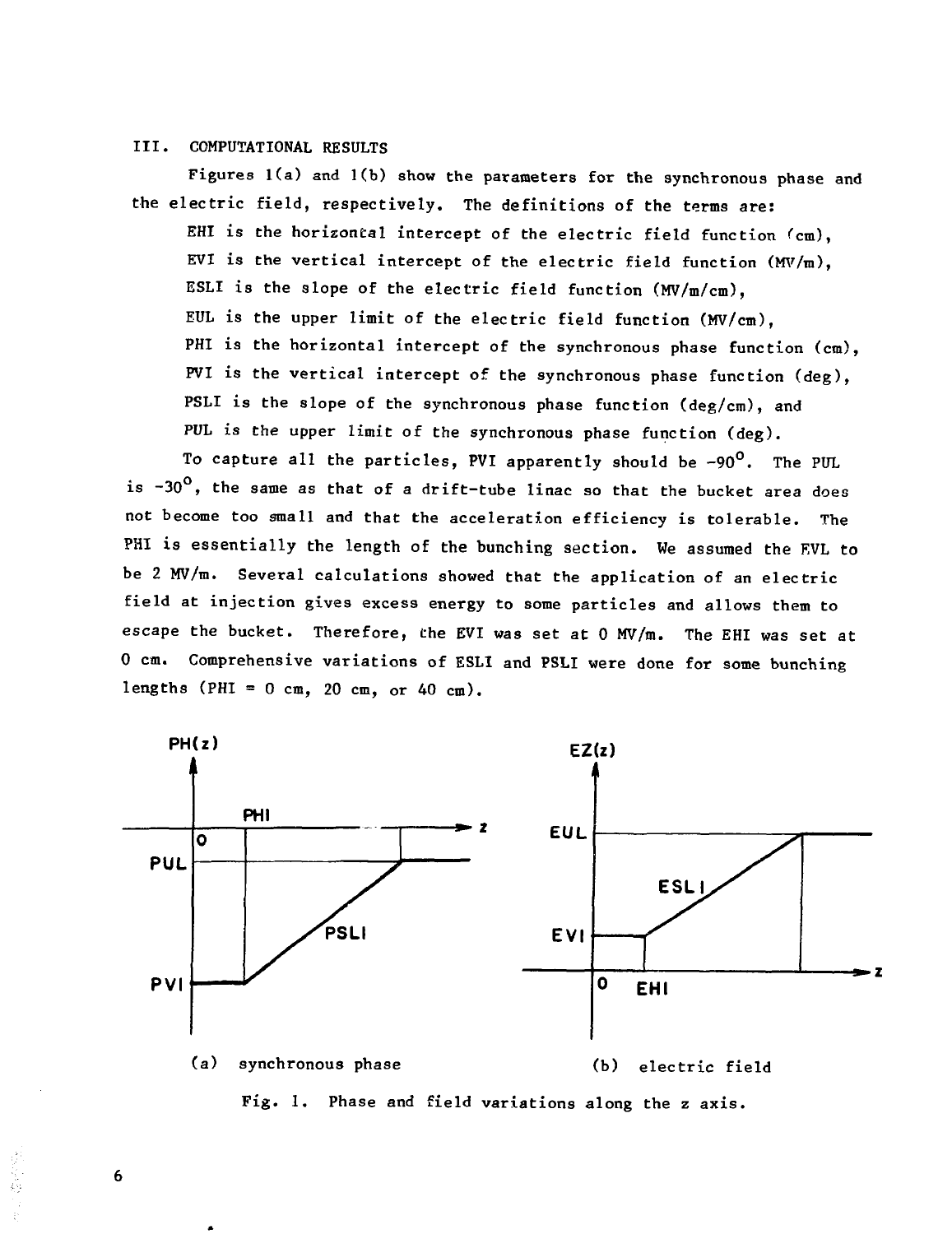## III. COMPUTATIONAL RESULTS

Figures  $1(a)$  and  $1(b)$  show the parameters for the synchronous phase and the electric field, respectively. The definitions of the terms are: EHI is the horizontal intercept of the electric field function (cm), EVI is the vertical intercept of the electric field function  $(MV/m)$ , ESLI is the slope of the electric field function (MV/m/cm), EUL is the upper limit of the electric field function (MV/cm), PHI is the horizontal intercept of the synchronous phase function (cm), PVI is the vertical intercept of the synchronous phase function (deg), PSLI is the slope of the synchronous phase function (deg/cm), and PUL is the upper limit of the synchronous phase function (deg).

To capture all the particles, PVI apparently should be  $-90^\circ$ . The PUL is  $-30^{\circ}$ , the same as that of a drift-tube linac so that the bucket area does not become too small and that the acceleration efficiency is tolerable. The PHI is essentially the length of the bunching section. We assumed the EVL to be 2 MV/m. Several calculations showed that the application of an electric field at injection gives excess energy to some particles and allows them to escape the bucket. Therefore, the EVI was set at 0 MV/m. The EHI was set at 0 cm. Comprehensive variations of ESLI and PSLI were done for some bunching lengths (PHI =  $0$  cm,  $20$  cm, or  $40$  cm).



Fig. 1. Phase and field variations along the z axis.

6

しんね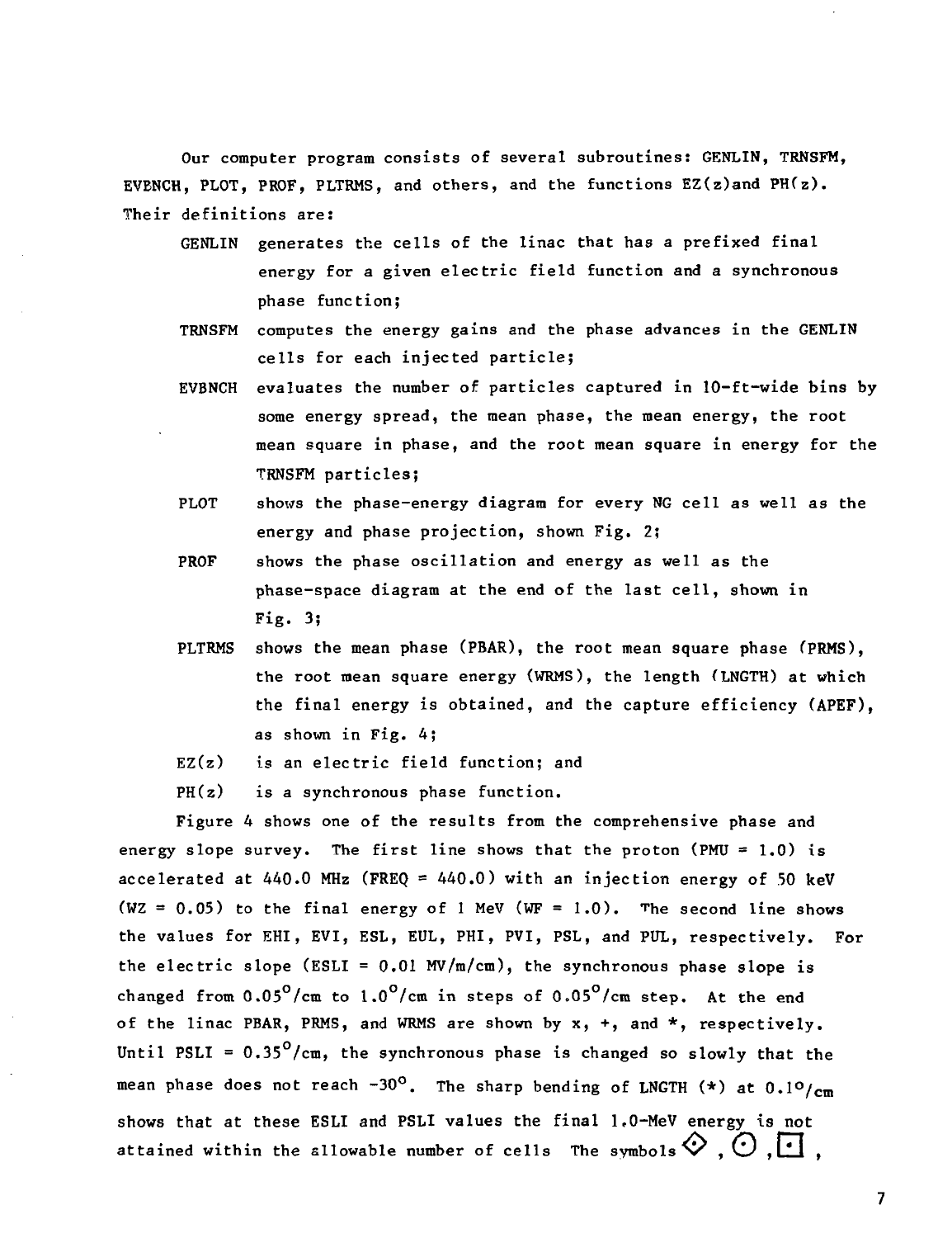Our computer program consists of several subroutines: GENLIN, TRNSFM, EVENCH, PLOT, PROF, PLTRMS, and others, and the functions  $EZ(z)$  and  $PH(z)$ . Their definitions are:

- GENLIN generates the cells of the linac that has a prefixed final energy for a given electric field function and a synchronous phase function;
- TRNSFM computes the energy gains and the phase advances in the GENLIN cells for each injected particle;
- EVBNCH evaluates the number of particles captured in 10-ft-wide bins by some energy spread, the mean phase, the mean energy, the root mean square in phase, and the root mean square in energy for the TRNSFM particles;
- PLOT shows the phase-energy diagram for every NG cell as well as the energy and phase projection, shown Fig. 2;
- PROF shows the phase oscillation and energy as well as the phase-space diagram at the end of the last cell, shown in Fig. 3;
- PLTRMS shows the mean phase (PBAR), the root mean square phase (PRMS). the root mean square energy (WRMS), the length (LNGTH) at which the final energy is obtained, and the capture efficiency (APEF), as shown in Fig. 4;
- $EZ(z)$  is an electric field function; and
- $PH(z)$  is a synchronous phase function.

Figure 4 shows one of the results from the comprehensive phase and energy slope survey. The first line shows that the proton (PMU =  $1.0$ ) is accelerated at  $440.0$  MHz (FREQ =  $440.0$ ) with an injection energy of 50 keV (WZ =  $0.05$ ) to the final energy of 1 MeV (WF =  $1.0$ ). The second line shows the values for EHI, EVI, ESL, EUL, PHI, PVI, PSL, and PUL, respectively. For the electric slope (ESLI =  $0.01$  MV/m/cm), the synchronous phase slope is changed from  $0.05^{\circ}/\text{cm}$  to  $1.0^{\circ}/\text{cm}$  in steps of  $0.05^{\circ}/\text{cm}$  step. At the end of the linac PBAR, PRMS, and WRMS are shown by  $x$ ,  $+$ , and  $*$ , respectively. Until PSLI =  $0.35^{\circ}/\text{cm}$ , the synchronous phase is changed so slowly that the mean phase does not reach -30°. The sharp bending of LNGTH  $(*)$  at 0.1°/cm shows that at these ESLI and PSLI values the final 1.0-MeV energy is not attained within the allowable number of cells The symbols  $\diamondsuit$  ,  $\odot$  ,  $\cdot\cdot\cdot$ 

 $\overline{7}$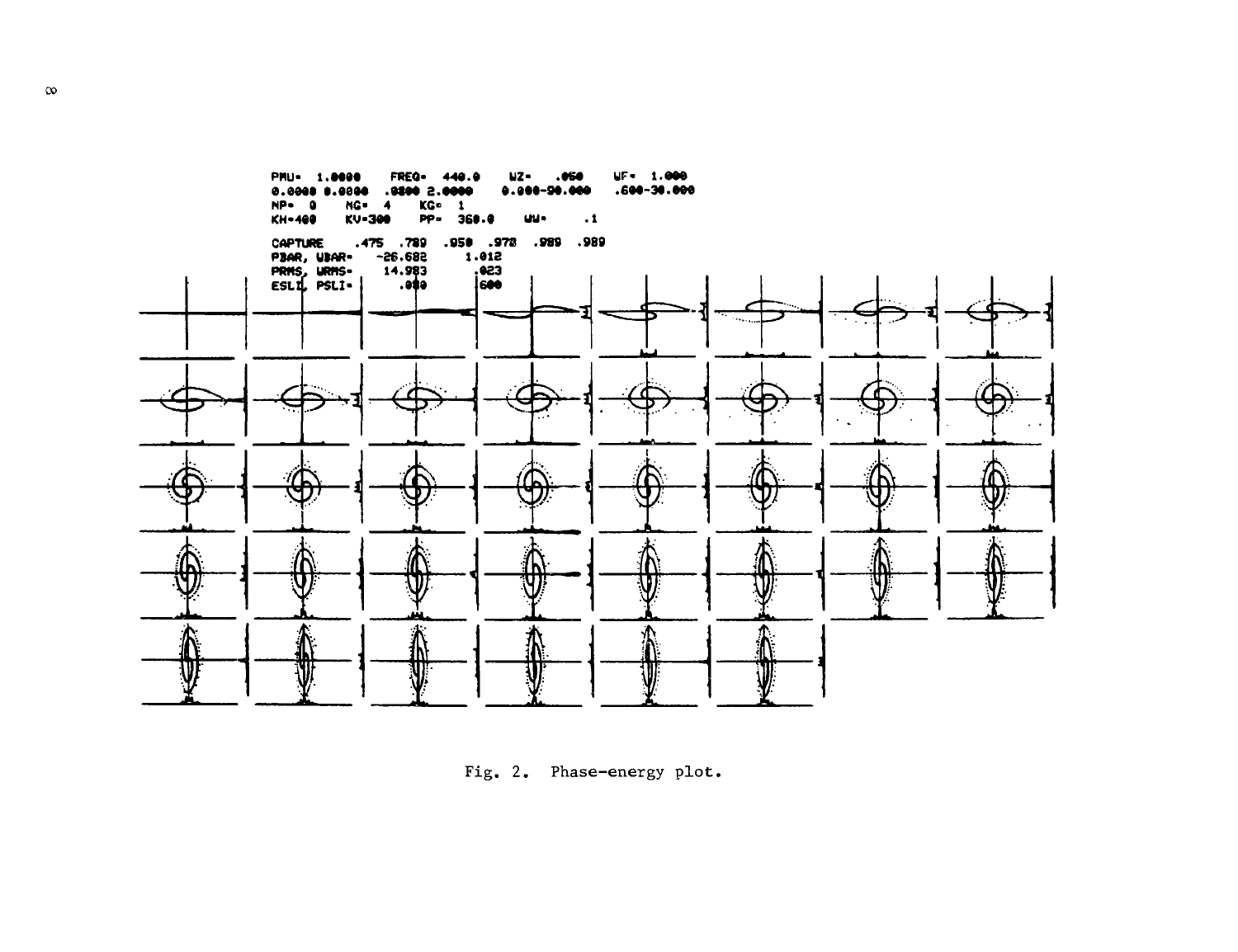

Fig. 2. Phase-energy plot.

 $\infty$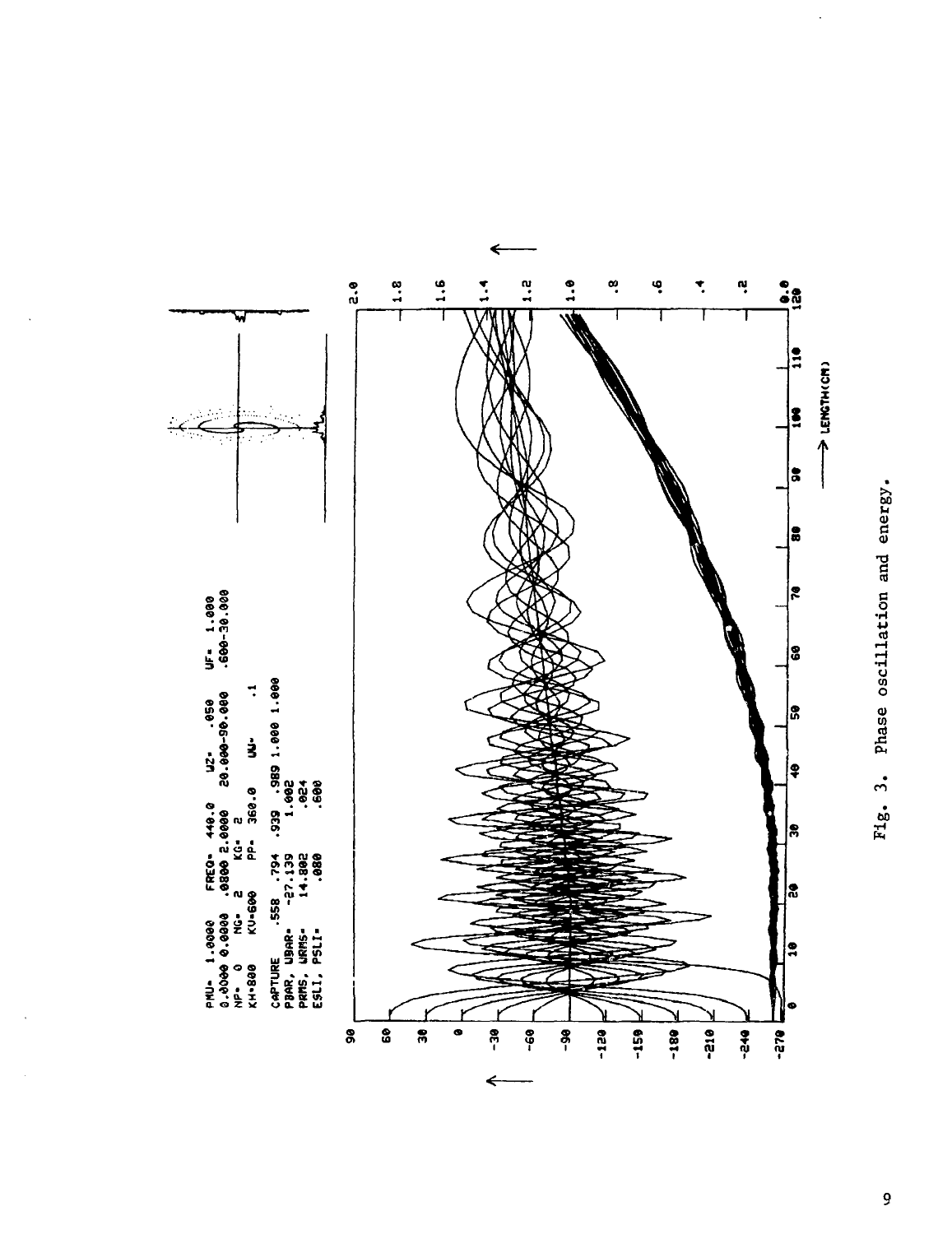

Phase oscillation and energy. Fig. 3.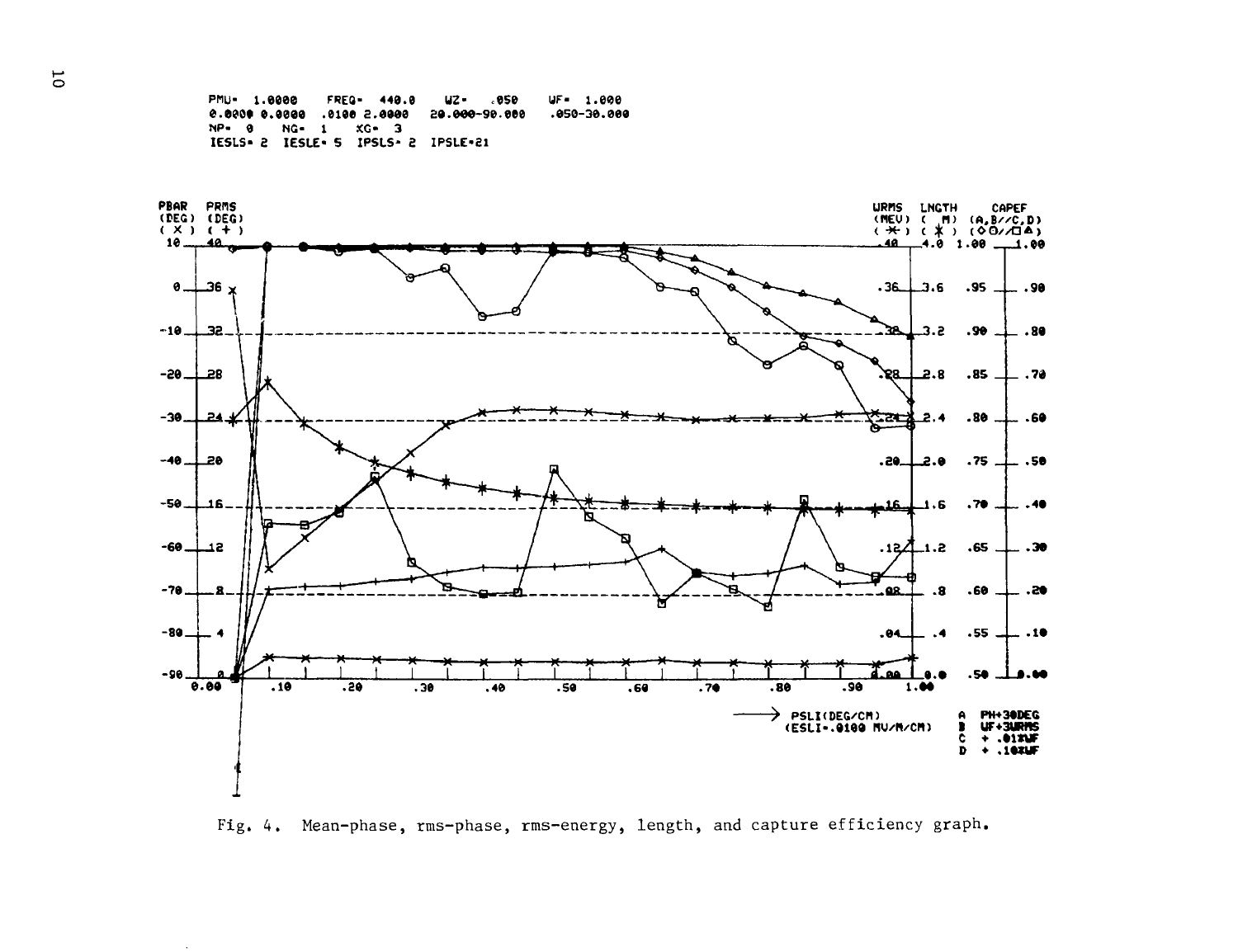PMU- 1.0000 FREQ- 440.0 UZ- .050 UF- 1.000  $.050 - 30.000$ 0.000.000.02 0.000.5 0.000. 0.000.0 0.000.0 NP- 0 NG- 1 XG- 3 IESLS- 2 IESLE- 5 IPSLS- 2 IPSLE-21



Fig. 4. Mean-phase, rms-phase, rms-energy, length, and capture efficiency graph.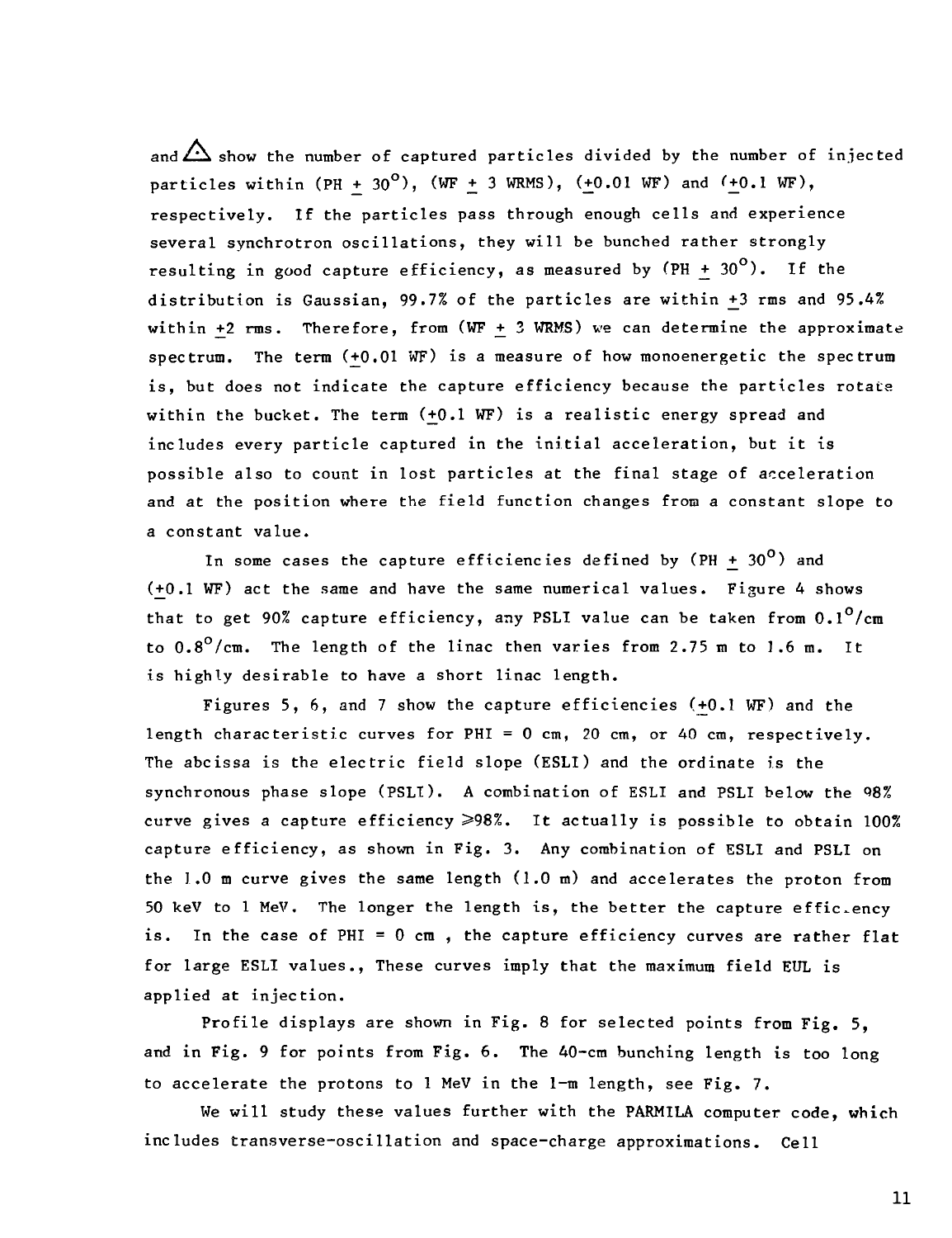and  $\triangle$  show the number of captured particles divided by the number of injected particles within (PH + 30<sup>o</sup>), (WF + 3 WRMS), (+0.01 WF) and (+0.1 WF), respectively. If the particles pass through enough cells and experience several synchrotron oscillations, they will be bunched rather strongly resulting in good capture efficiency, as measured by  $(PH + 30^{\circ})$ . If the distribution is Gaussian, 99.7% of the particles are within \_+3 rms and 95.4% within +2 rms. Therefore, from  $(WF + 3 WRMS)$  we can determine the approximate spectrum. The term (+0.01 WF) is a measure of how monoenergetic the spectrum is, but does not indicate the capture efficiency because the particles rotate within the bucket. The term  $(+0.1$  WF) is a realistic energy spread and includes every particle captured in the initial acceleration, but it is possible also to count in lost particles at the final stage of acceleration and at the position where the field function changes from a constant slope to a constant value.

In some cases the capture efficiencies defined by  $(PH + 30<sup>o</sup>)$  and  $(+0.1 \text{ WF})$  act the same and have the same numerical values. Figure 4 shows that to get 90% capture efficiency, any PSLI value can be taken from  $0.1^0/cm$ to  $0.8^{\circ}/\text{cm}$ . The length of the linac then varies from 2.75 m to 1.6 m. It is highly desirable to have a short linac length.

Figures 5, 6, and 7 show the capture efficiencies  $(+0.1 \text{ WF})$  and the length characteristic curves for PHI = 0 cm, 20 cm, or 40 cm, respectively. The abcissa is the electric field slope (ESLI) and the ordinate is the synchronous phase slope (PSLI). A combination of ESLI and PSLI below the 98% curve gives a capture efficiency  $\geqslant 98\%$ . It actually is possible to obtain 100% capture efficiency, as shown in Fig. 3. Any combination of ESLI and PSLI on the 1.0 m curve gives the same length (1.0 m) and accelerates the proton from 50 keV to 1 MeV. The longer the length is, the better the capture effic.ency is. In the case of PHI =  $0 \text{ cm}$ , the capture efficiency curves are rather flat for large ESLI values., These curves imply that the maximum field EUL is applied at injection.

Profile displays are shown in Fig. 8 for selected points from Fig. 5, and in Fig. 9 for points from Fig. 6. The 40-cm bunching length is too long to accelerate the protons to 1 MeV in the 1-m length, see Fig. 7.

We will study these values further with the PARMILA computer code, which includes transverse-oscillation and space-charge approximations. Cell

11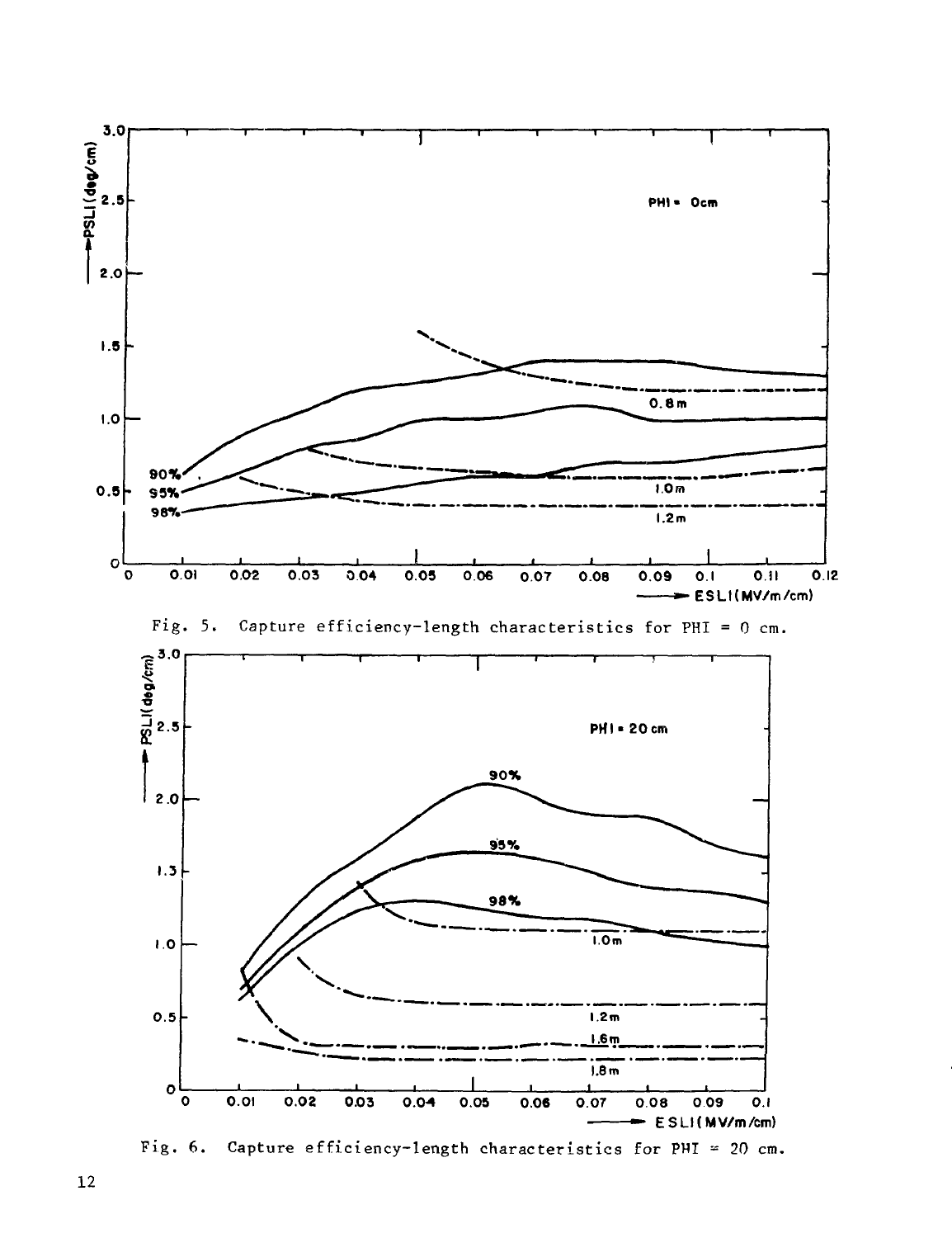

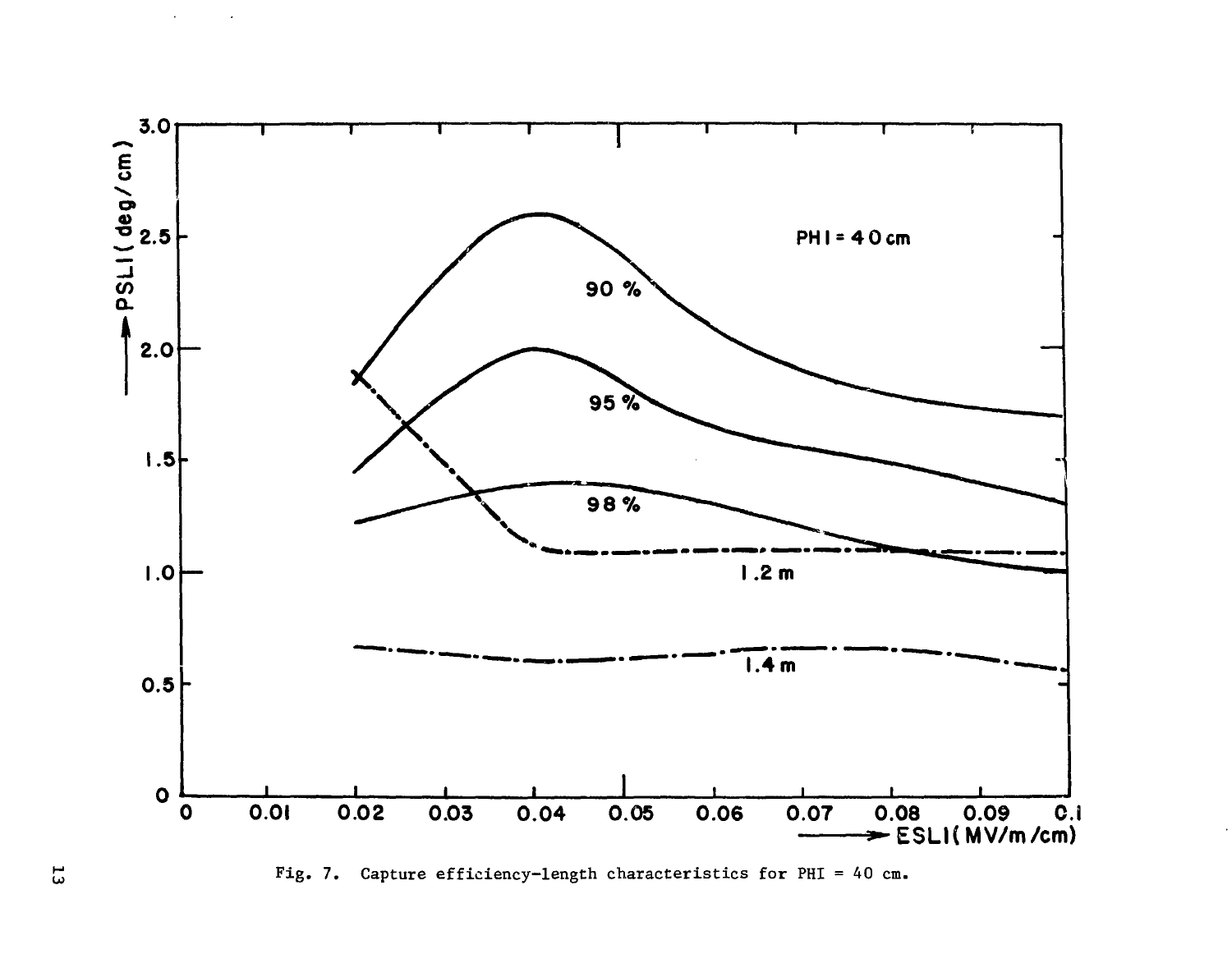



Fig. 7. Capture efficiency-length characteristics for PHI = 40 cm.

 $\overline{5}$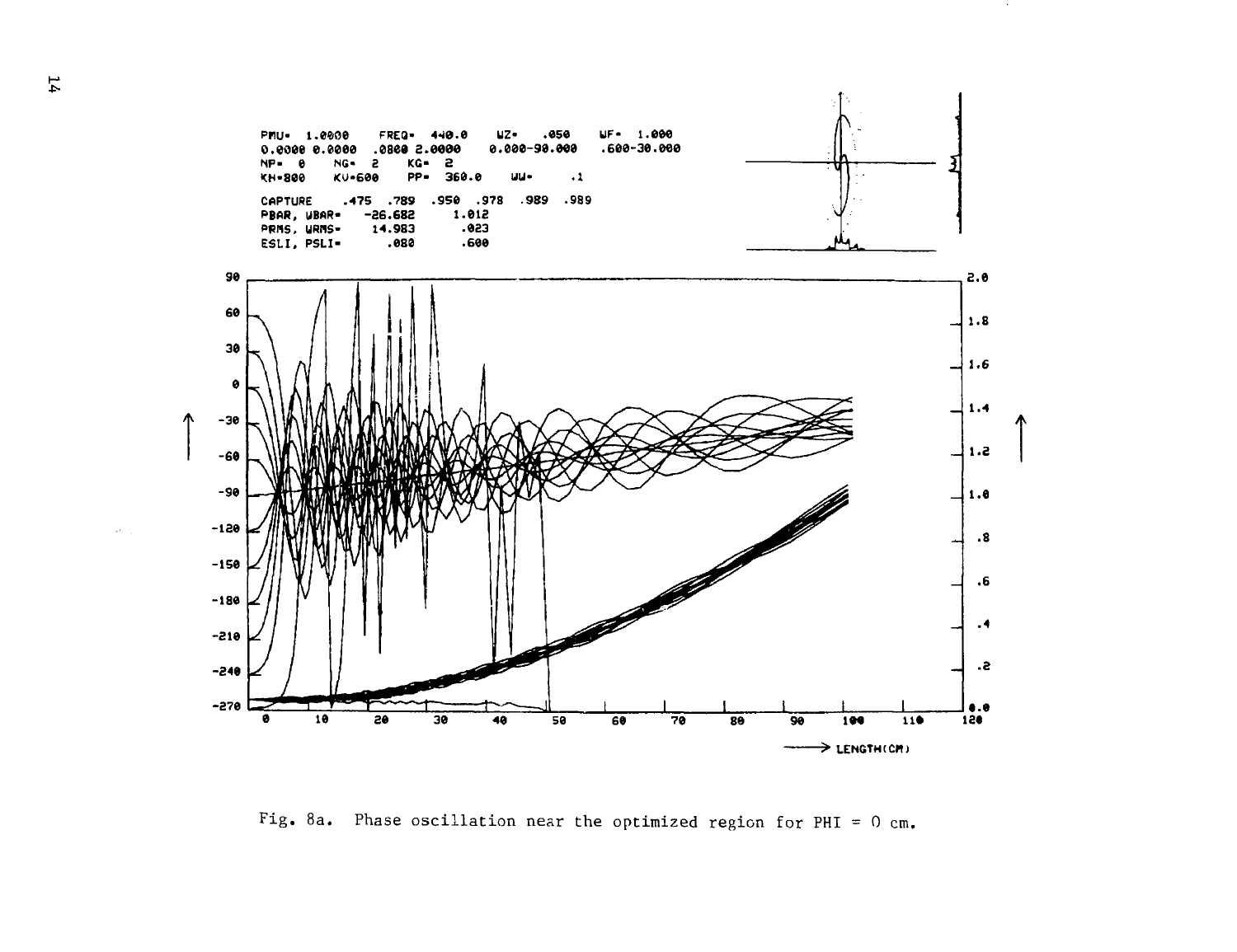

Fig. 8a. Phase oscillation near the optimized region for PHI =  $0$  cm.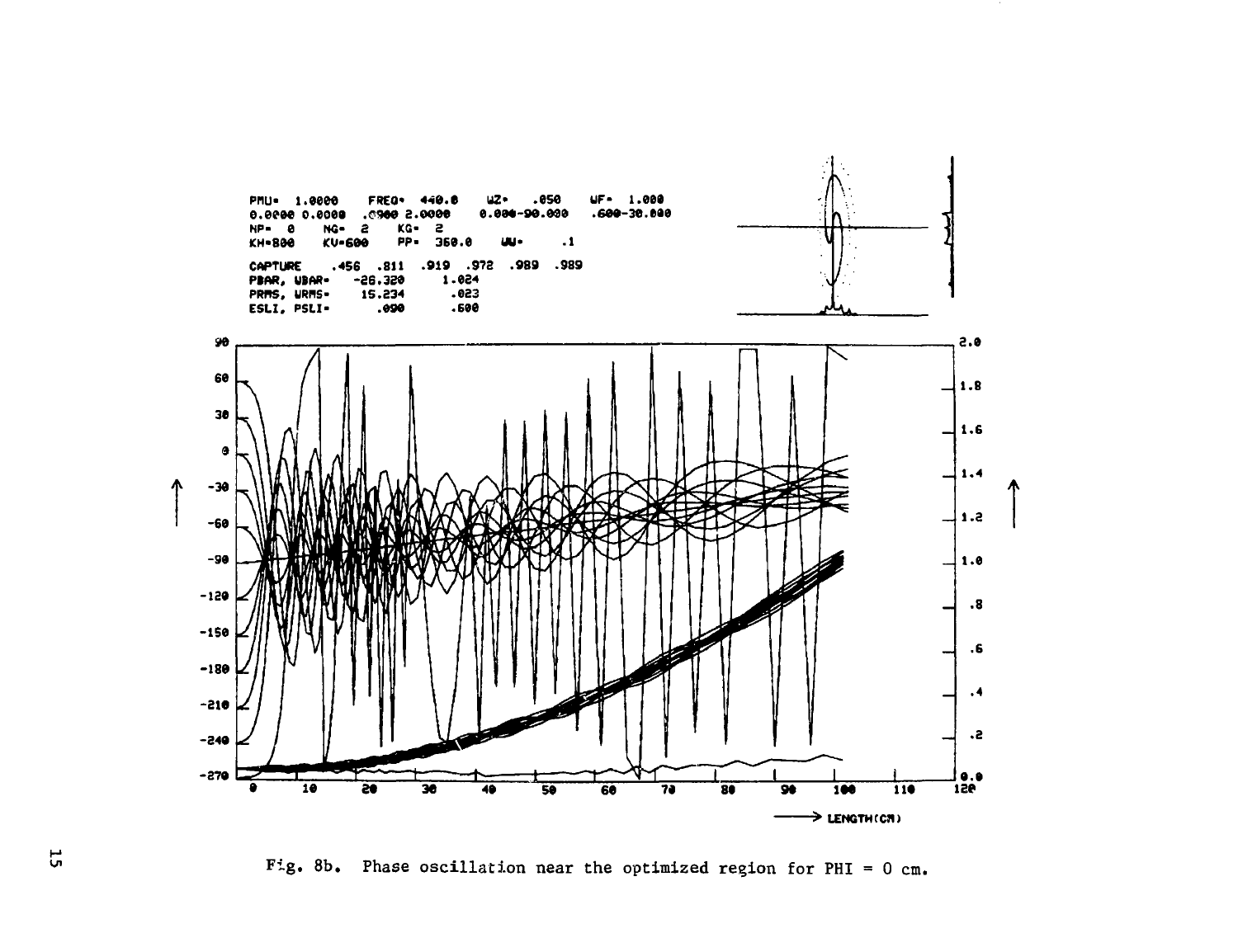

Fig. 8b. Phase oscillation near the optimized region for PHI = 0 cm.

 $5\overline{1}$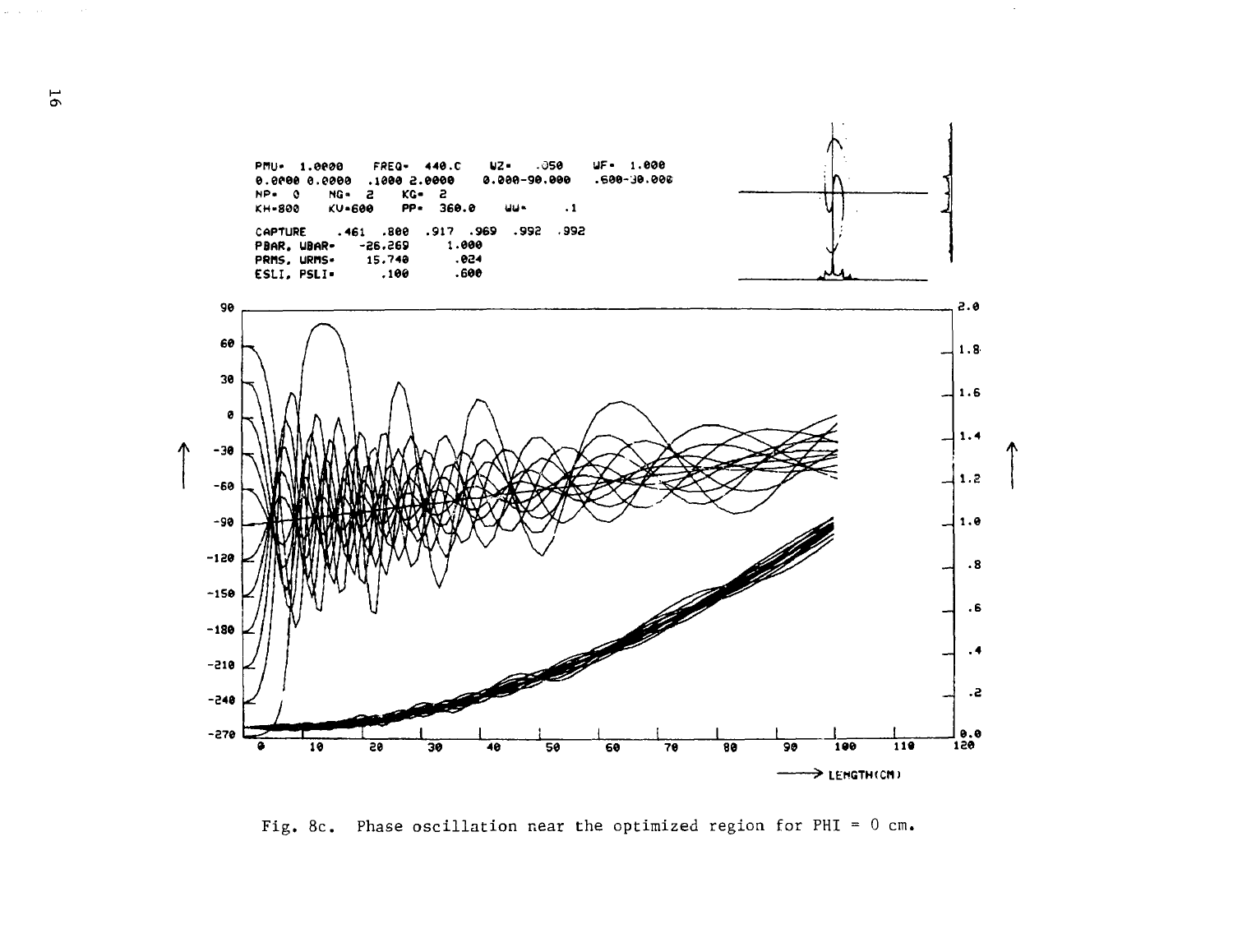

 $\bar{\mathcal{A}}$ 

Fig. 8c. Phase oscillation near the optimized region for PHI =  $0$  cm.

and the state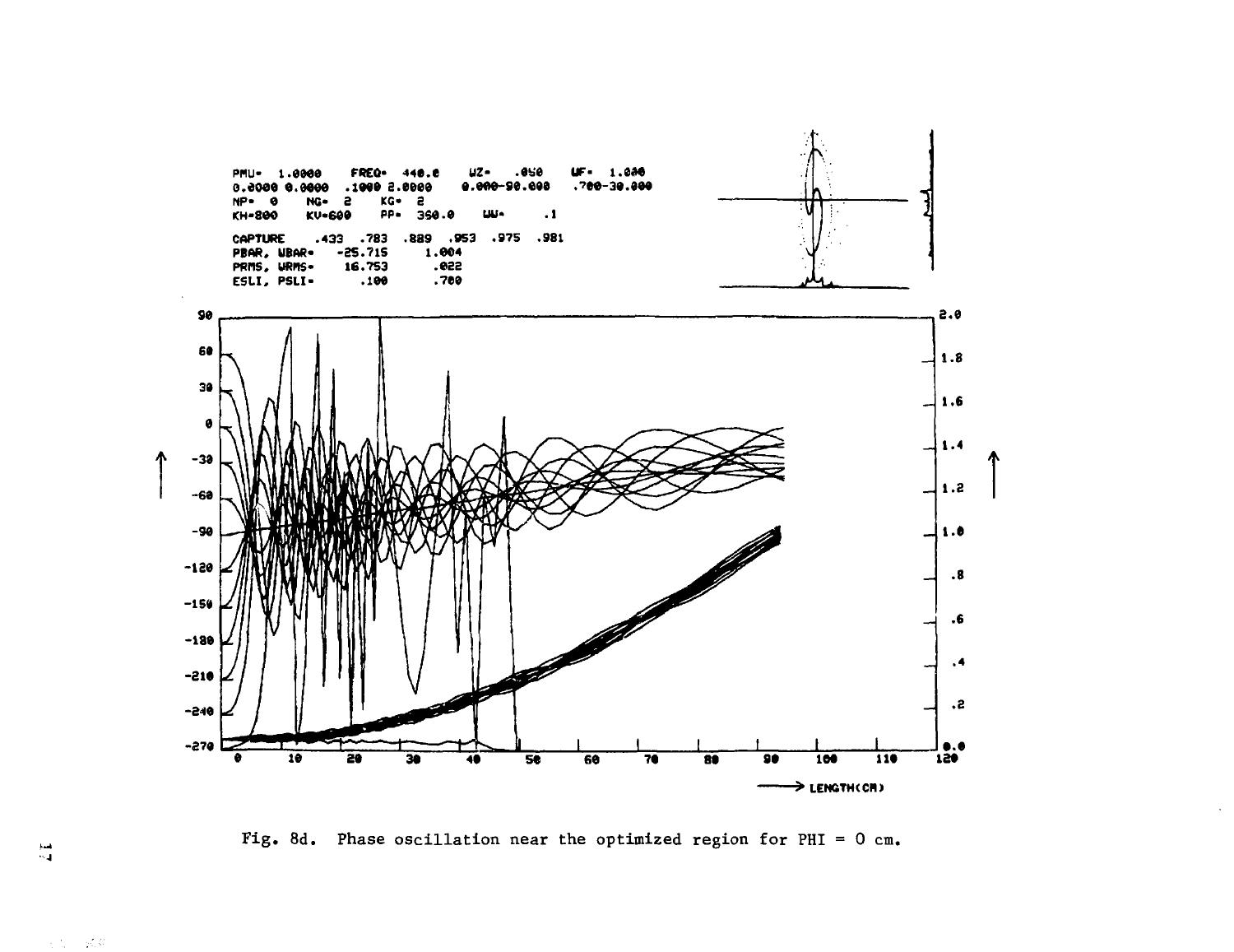![](_page_17_Figure_0.jpeg)

Fig. 8d. Phase oscillation near the optimized region for PHI =  $0$  cm.

 $\frac{1}{2}$ 

 $\mathcal{A}(\mathcal{C})=\mathcal{A}(\mathcal{C})$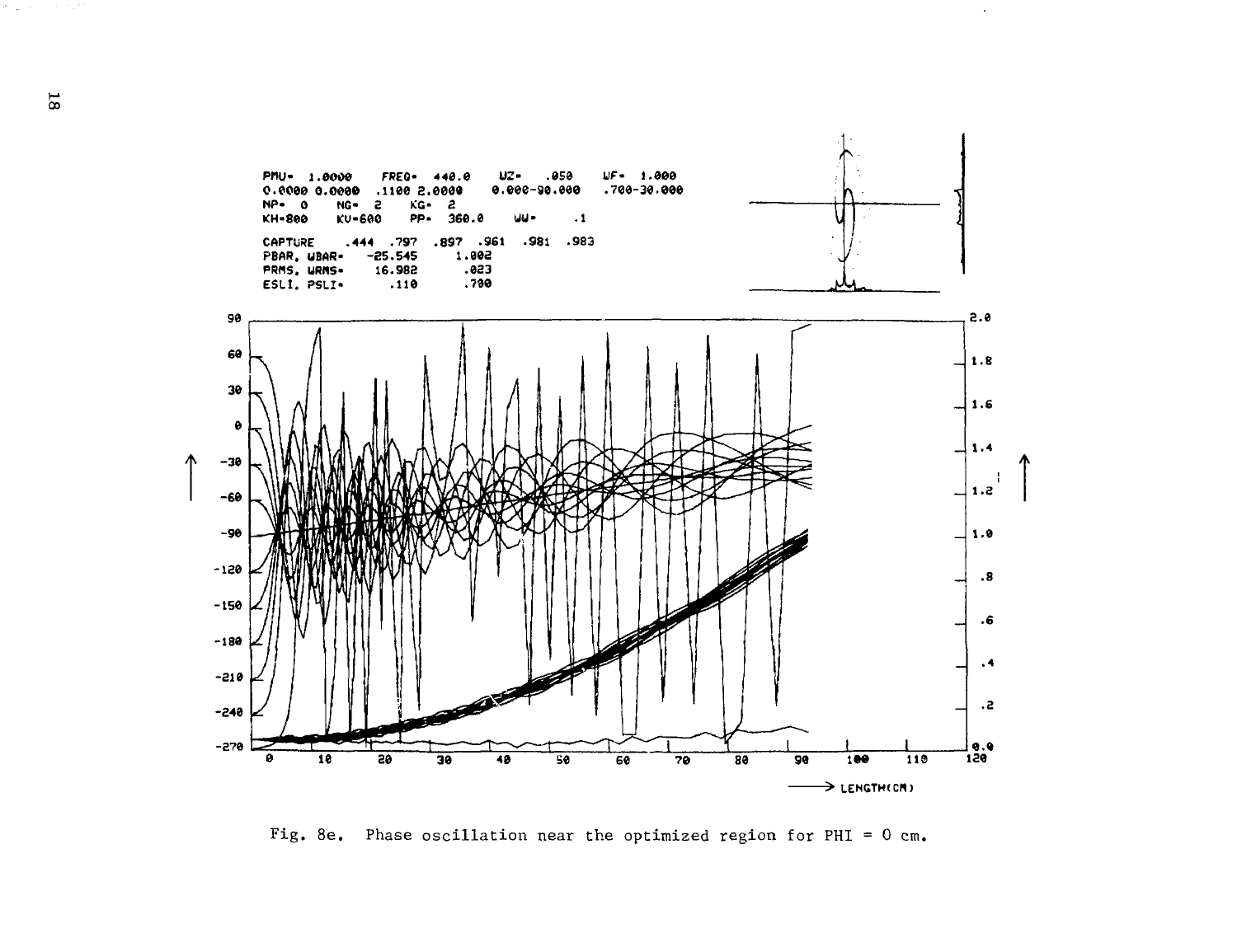![](_page_18_Figure_0.jpeg)

 $\mathcal{L}$ 

Fig. 8e. Phase oscillation near the optimized region for PHI =  $0$  cm.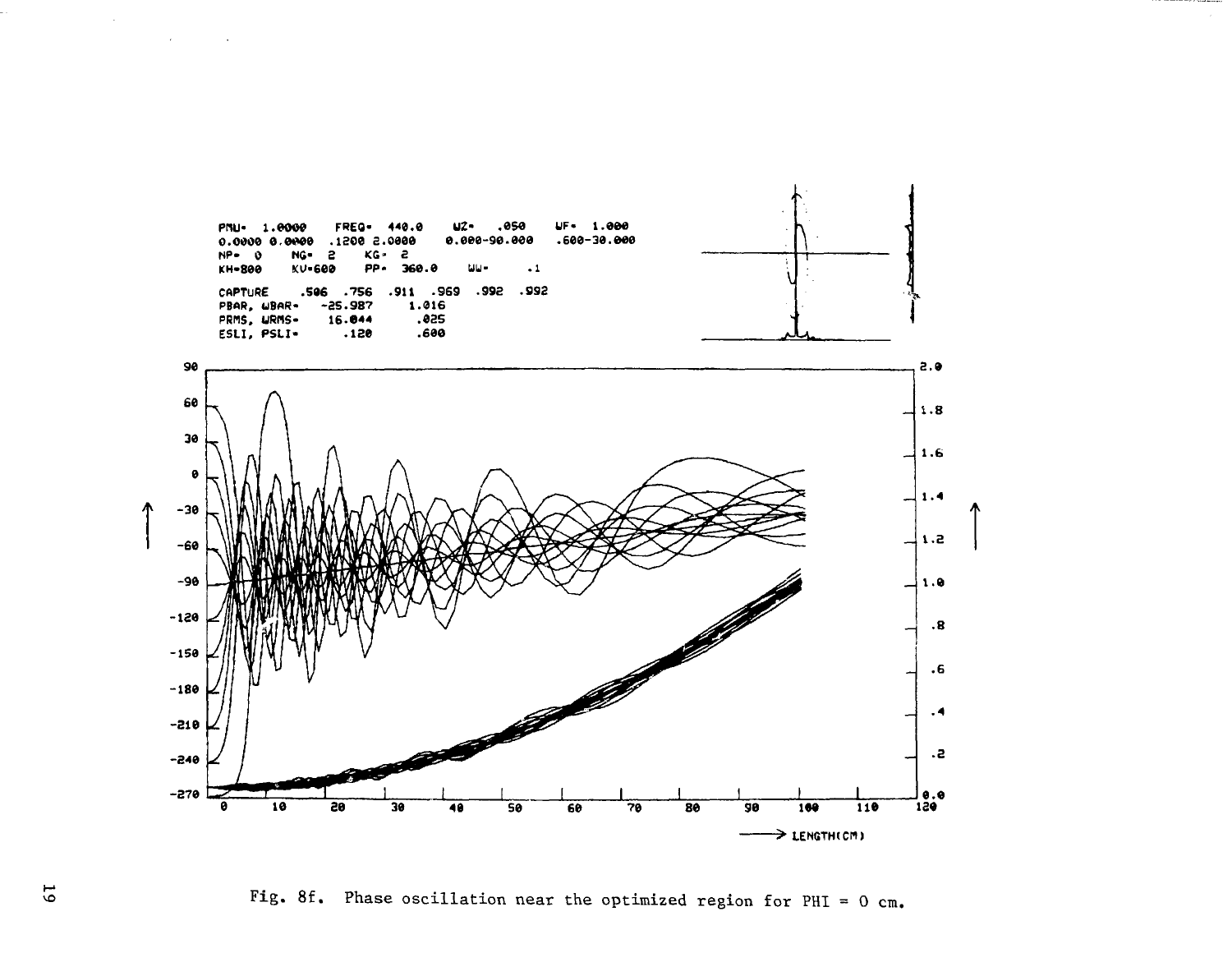![](_page_19_Figure_0.jpeg)

Fig. 8f. Phase oscillation near the optimized region for PHI =  $0$  cm.

 $\overline{6}$ 

 $\sim$ 

 $\sim 10^{11}$  km  $^{-1}$ 

 $\sim 100$  km  $^{-1}$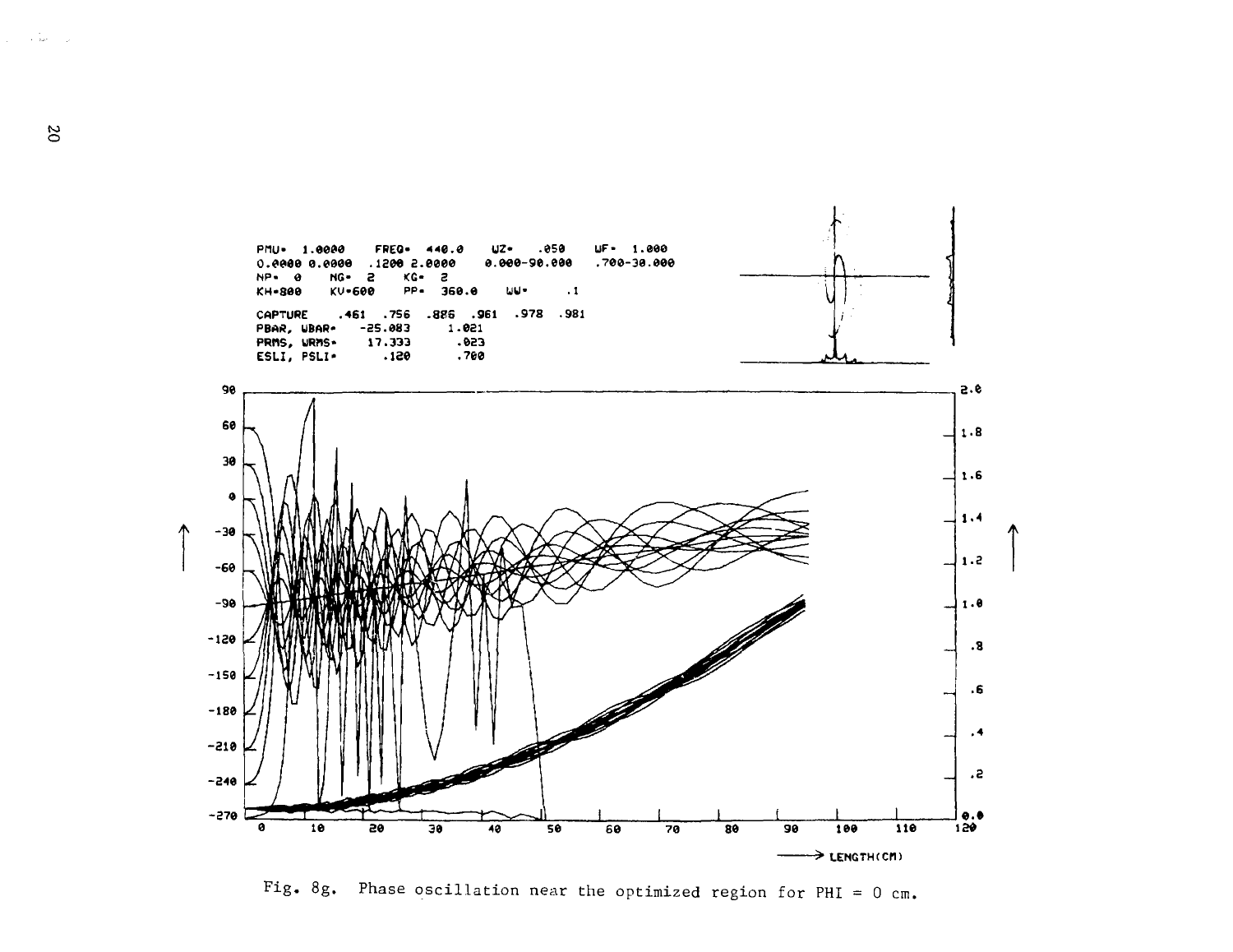![](_page_20_Figure_0.jpeg)

Fig. 8g. Phase oscillation near the optimized region for PHI =  $0$  cm.

 $\infty$ 

 $\gamma_{\rm c} = 1.5$  km s  $^{-1}$  .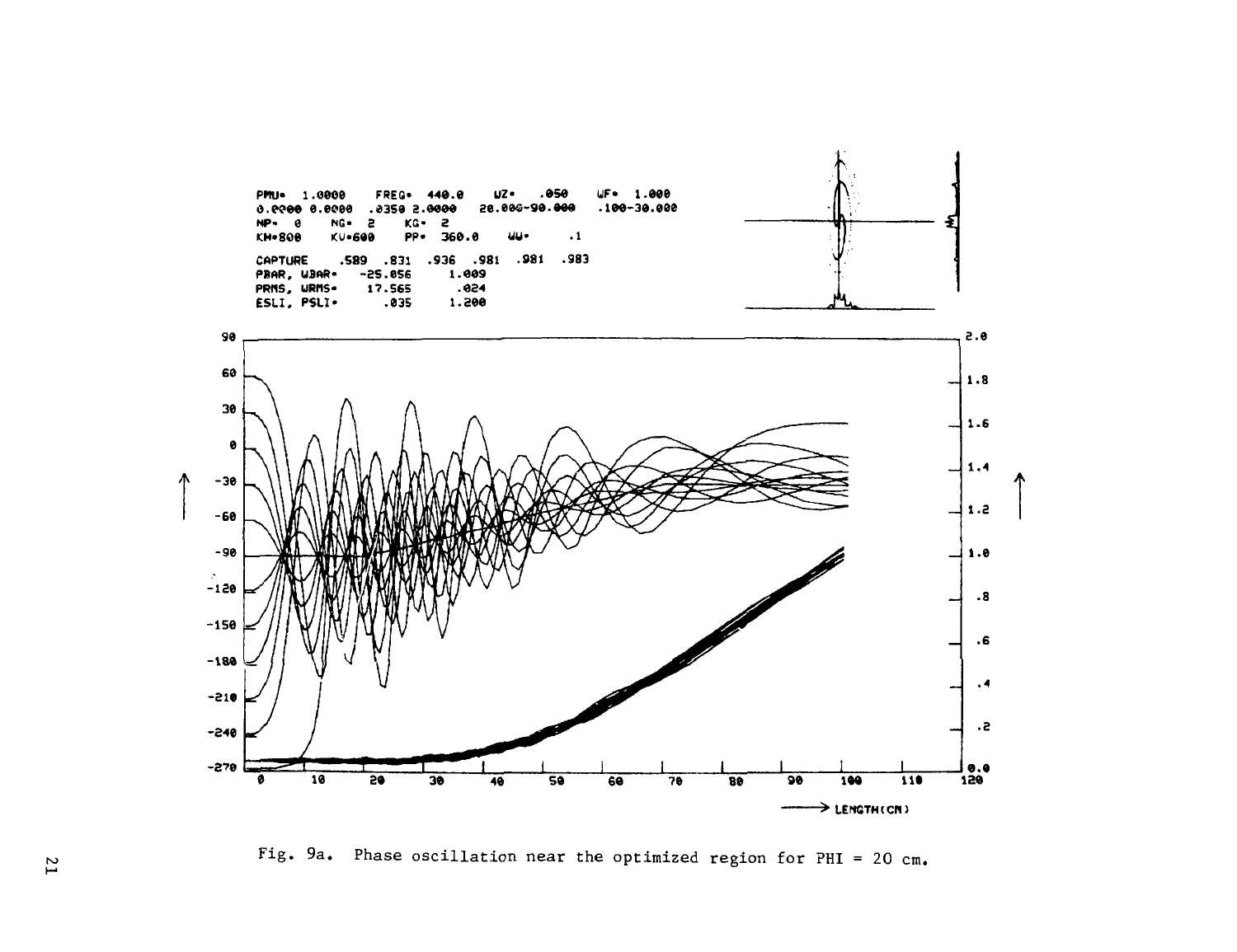![](_page_21_Figure_0.jpeg)

Fig. 9a. Phase oscillation near the optimized region for PHI = 20 cm.

 $\overline{L}$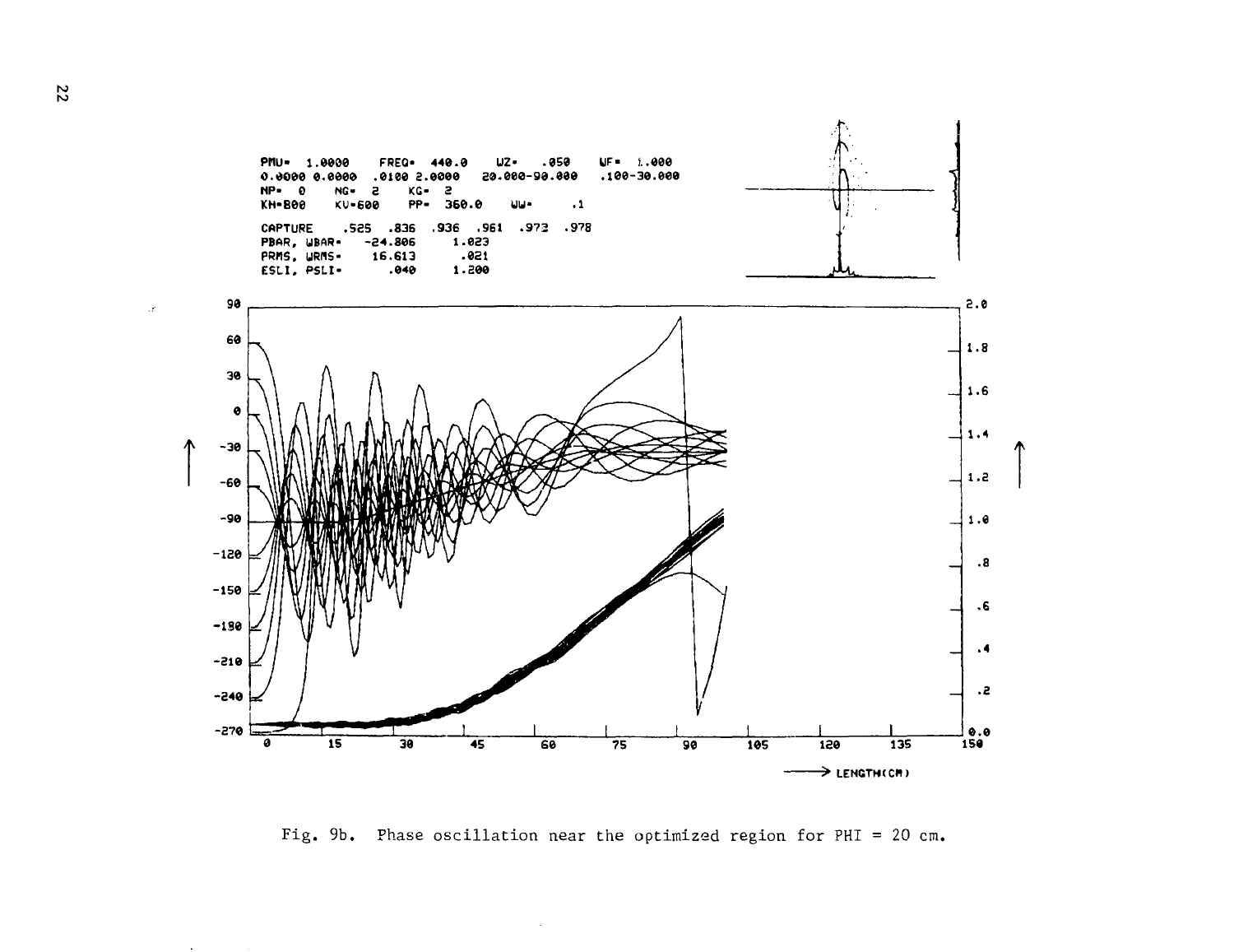![](_page_22_Figure_0.jpeg)

Fig. 9b. Phase oscillation near the optimized region for PHI = 20 cm.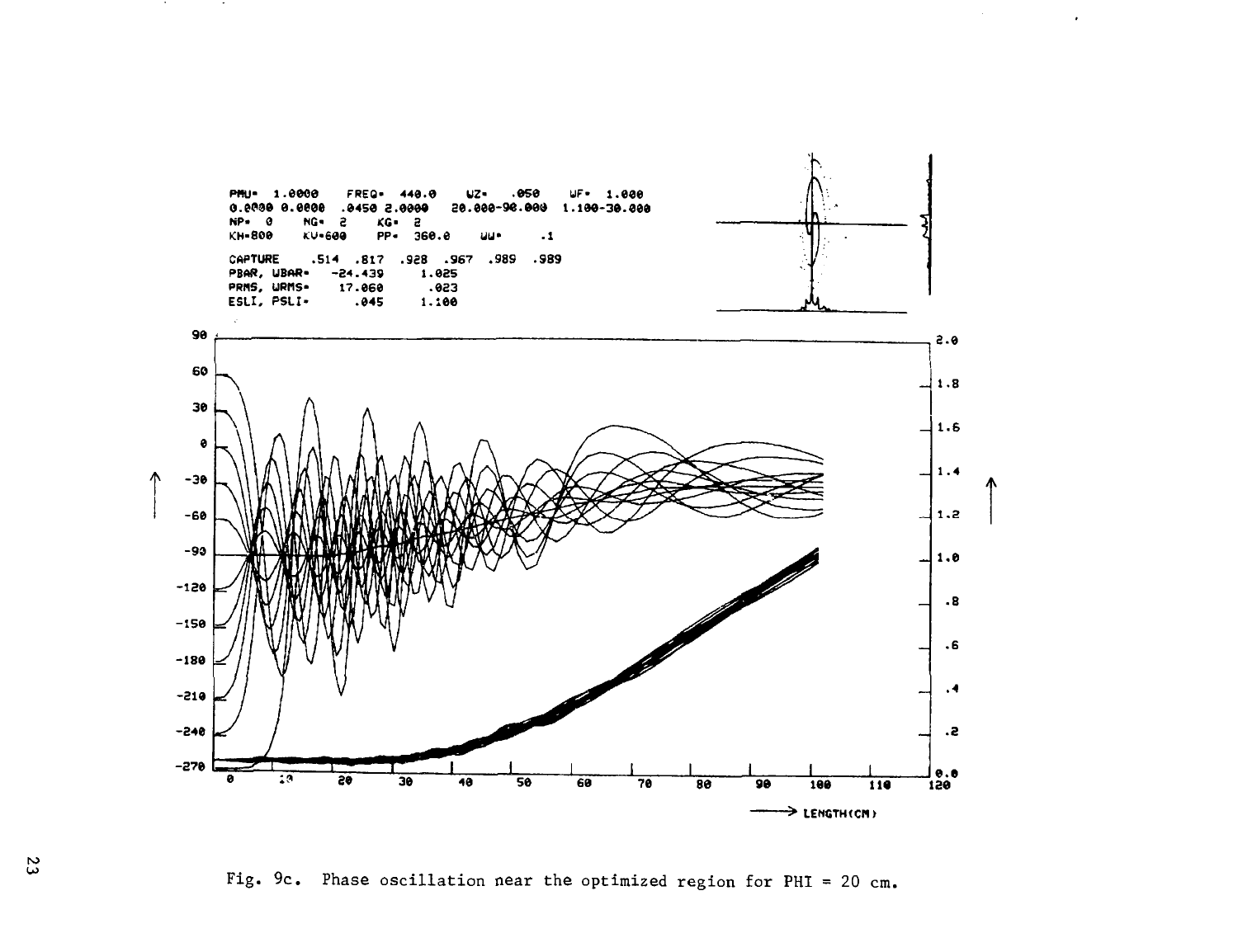![](_page_23_Figure_0.jpeg)

 $\bullet$ 

Fig. 9c. Phase oscillation near the optimized region for PHI = 20 cm.

 $\mathfrak{c}$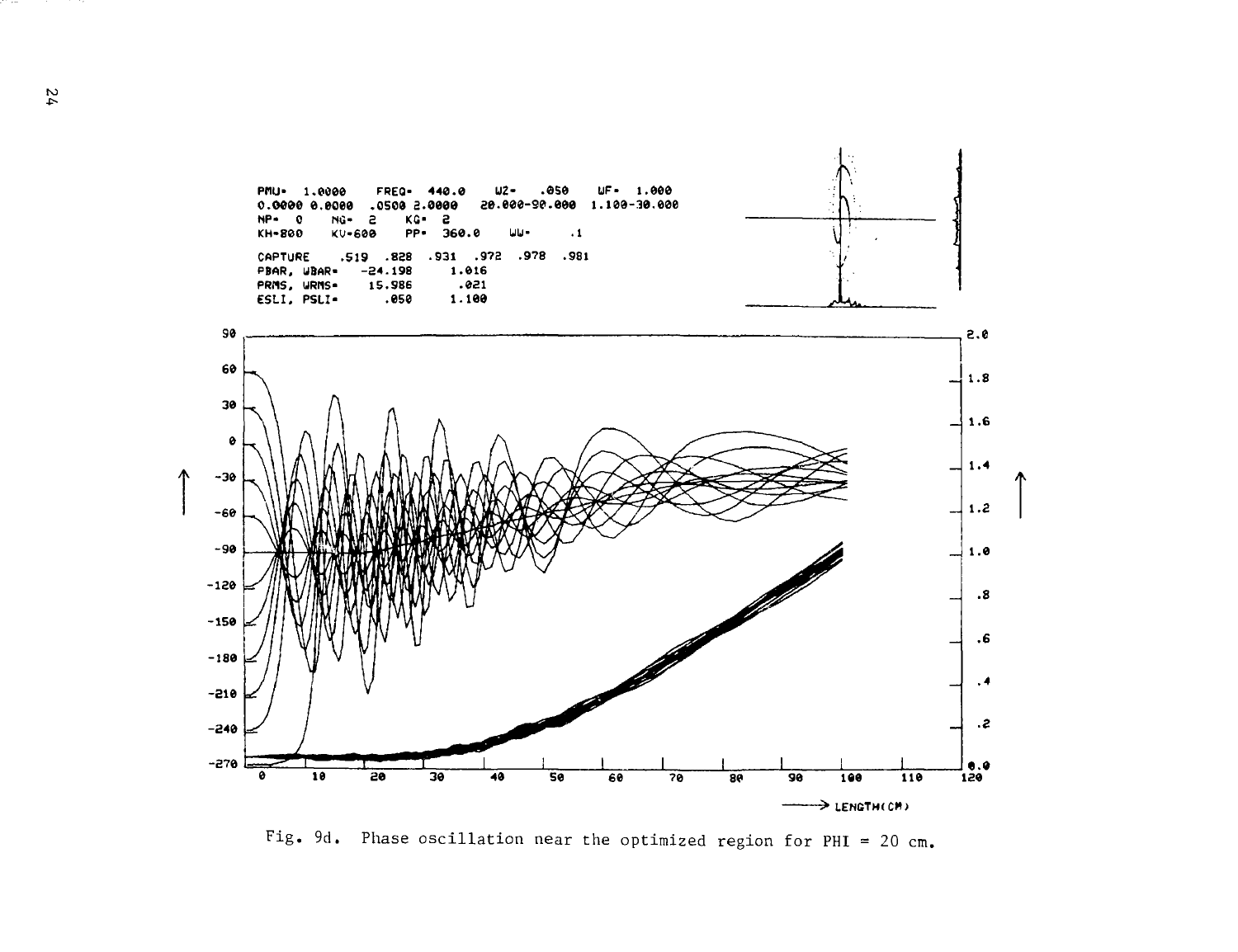![](_page_24_Figure_0.jpeg)

Fig. 9d. Phase oscillation near the optimized region for PHI = 20 cm.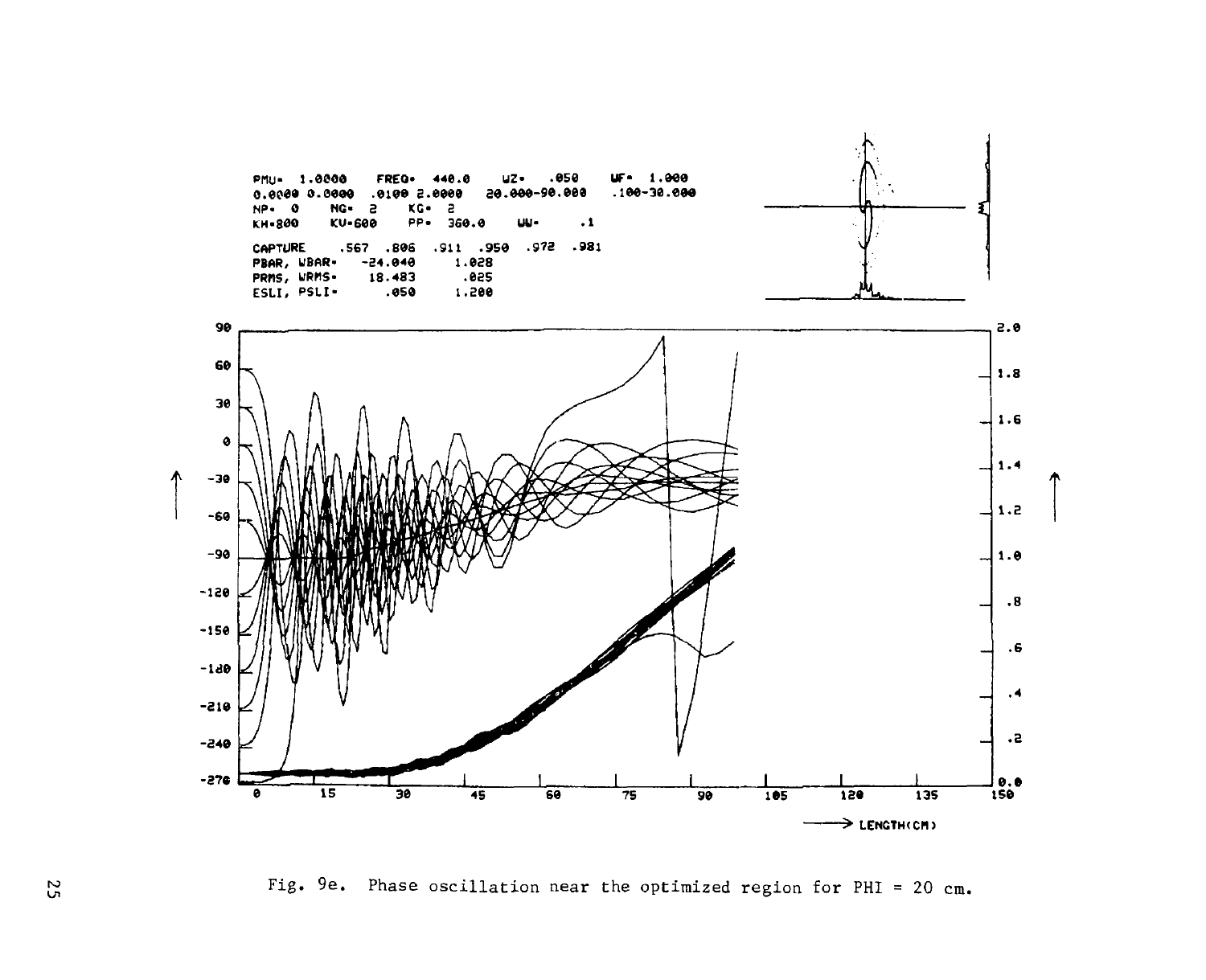![](_page_25_Figure_0.jpeg)

Fig. 9e. Phase oscillation near the optimized region for PHI = 20 cm.

52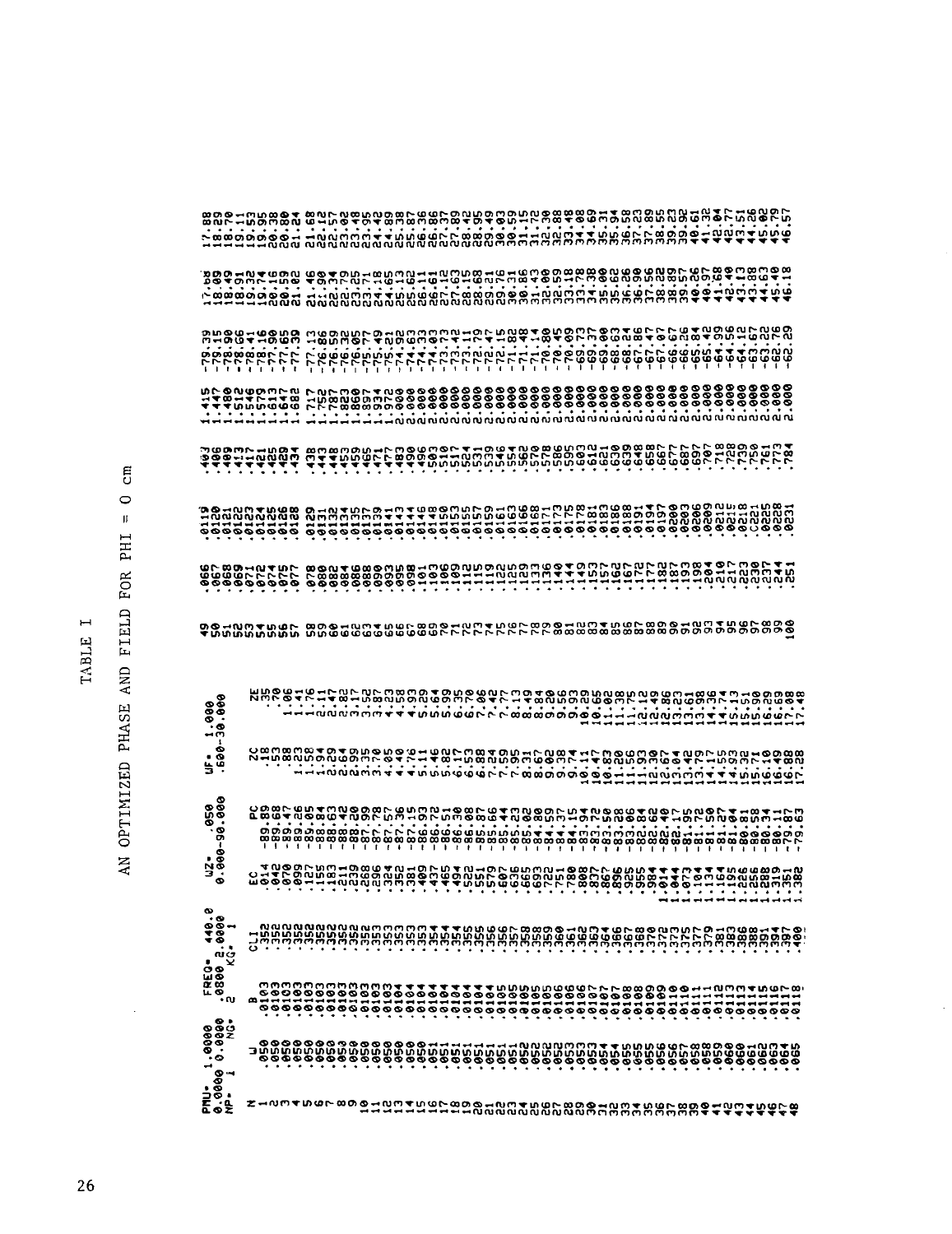| ⊣<br>٠      |  |
|-------------|--|
| ш<br>p<br>Ë |  |

# AN OPTIMIZED PHASE AND FIELD FOR PHI = 0 cm

 $\bar{z}$ 

| <b>Buggarnoon</b>                                                                                                                                            |                                                                                                                                                                                                                                    |                                                                                                                                                                                                                                  |  |  |                                         |  |  |  |                                                                                   |  |  |  |  |  |  |  |  |  |  |
|--------------------------------------------------------------------------------------------------------------------------------------------------------------|------------------------------------------------------------------------------------------------------------------------------------------------------------------------------------------------------------------------------------|----------------------------------------------------------------------------------------------------------------------------------------------------------------------------------------------------------------------------------|--|--|-----------------------------------------|--|--|--|-----------------------------------------------------------------------------------|--|--|--|--|--|--|--|--|--|--|
|                                                                                                                                                              |                                                                                                                                                                                                                                    |                                                                                                                                                                                                                                  |  |  | .<br>• លំលំលំលំលំលំលំលំលំលំលំលំលំលំលំលំ |  |  |  |                                                                                   |  |  |  |  |  |  |  |  |  |  |
| <u>ិទីទំនង់កំពុំព័ច្ចវ</u>                                                                                                                                   |                                                                                                                                                                                                                                    | ីវីទ្ធិក្នុងក្នុងក្នុងក្នុងក្នុងប្រាប់ប្រាប់ប្រាប់ប្រាប់ប្រាប់ប្រាប់ប្រាប់ប្រាប់ប្រាប់ប្រាប់ប្រាប់ប្រាប់ប្រាប់<br>ក្នុងក្នុងក្នុងក្នុងក្នុងប្រាប់ប្រាប់ប្រាប់ប្រាប់ប្រាប់ប្រាប់ប្រាប់ប្រាប់ប្រាប់ប្រាប់ប្រាប់ប្រាប់ប្រាប់ប្រាប់ប |  |  |                                         |  |  |  |                                                                                   |  |  |  |  |  |  |  |  |  |  |
|                                                                                                                                                              |                                                                                                                                                                                                                                    |                                                                                                                                                                                                                                  |  |  |                                         |  |  |  |                                                                                   |  |  |  |  |  |  |  |  |  |  |
| JU FUI-1003<br>1111110000<br>11111000000                                                                                                                     |                                                                                                                                                                                                                                    | e e se se se se se de distritution de la conservació de la conservació de la conservació de la conservació de                                                                                                                    |  |  |                                         |  |  |  |                                                                                   |  |  |  |  |  |  |  |  |  |  |
| לממת ממשבט ממפקס מספר המה במקרא ברדר ברדר בשממפס ממפס ממפס מטיסט משפט ממשפט.<br>בא לא האדם משפט למשפט משפט משפט לא האדם משפט משפט ממשפט משפט משפט משפט משפט. |                                                                                                                                                                                                                                    |                                                                                                                                                                                                                                  |  |  |                                         |  |  |  |                                                                                   |  |  |  |  |  |  |  |  |  |  |
| $uF = 1.000$<br>.600-30.000                                                                                                                                  |                                                                                                                                                                                                                                    |                                                                                                                                                                                                                                  |  |  |                                         |  |  |  |                                                                                   |  |  |  |  |  |  |  |  |  |  |
|                                                                                                                                                              | มีอัติจัดเกิดตั้งที่ 2 มีอัติจัดเกิดตั้งที่ 2 มีอัติจัดตั้งของการ 1 มีอัติจัดเกิดตั้งที่ 2 มีอัติจัดเกิดตั้งที<br>เขติมีอัติจัดเกิดตั้งที่ 2 มีอัติจัดเกิดตั้งที่ 2 มีอัติจัดเกิดตั้งที่ 2 มีอัติจัดเกิดตั้งที่ 2 มีอัติจัดเกิดต   |                                                                                                                                                                                                                                  |  |  |                                         |  |  |  |                                                                                   |  |  |  |  |  |  |  |  |  |  |
| 09.00-30.000<br>0.000-30.000                                                                                                                                 | າມານ ເພື່ອເປັນການເປັນການ ເພື່ອເປັນການ ເພື່ອເປັນການ ເພື່ອເປັນການ ເພື່ອເປັນການ ເພື່ອເປັນການ ເພື່ອເປັນການ ເພື່ອເປ<br>ທ່າວ ອີຣິດ ອີຣິດ ແລະ ເພື່ອເປັນການ ເພື່ອເປັນການ ເພື່ອເປັນການ ເພື່ອເປັນການ ເພື່ອເປັນການ ເພື່ອເປັນການ ເພື່ອເປັນກ    |                                                                                                                                                                                                                                  |  |  |                                         |  |  |  |                                                                                   |  |  |  |  |  |  |  |  |  |  |
|                                                                                                                                                              |                                                                                                                                                                                                                                    |                                                                                                                                                                                                                                  |  |  |                                         |  |  |  |                                                                                   |  |  |  |  |  |  |  |  |  |  |
| FREG= 40.0<br>.0800 2.0000<br>2 KG= 1                                                                                                                        |                                                                                                                                                                                                                                    |                                                                                                                                                                                                                                  |  |  |                                         |  |  |  |                                                                                   |  |  |  |  |  |  |  |  |  |  |
|                                                                                                                                                              |                                                                                                                                                                                                                                    |                                                                                                                                                                                                                                  |  |  |                                         |  |  |  |                                                                                   |  |  |  |  |  |  |  |  |  |  |
| $\begin{array}{c} .0000 \\ .0000 \\ .0000 \end{array}$                                                                                                       | ទី<br>ក្នុងការពិតមានក្នុងការពិតមានការពិតមានការពិតប្រាក់ និងការពិតមានការពិតមានការពិតមានការពិតមានការពិតមានការពិតមានការ<br>ក្នុងការពិតមានការពិតមានការពិតមានការពិតមានការពិតមានការពិតមានការពិតមានការពិតមានការពិតមានការពិតមានការពិតមានកា |                                                                                                                                                                                                                                  |  |  |                                         |  |  |  |                                                                                   |  |  |  |  |  |  |  |  |  |  |
| PFN-<br>0.3000<br>NP-                                                                                                                                        | Z-NMTUGLOOG-NMTUGL                                                                                                                                                                                                                 |                                                                                                                                                                                                                                  |  |  |                                         |  |  |  | ិនិងទី១៥៣៥០៩៣០៥០១៦ ដែលបានសង្គម និង តែ<br>- តាំងប្អូនបានបានប្អូនបានបានបង្កើតទី២០០០ |  |  |  |  |  |  |  |  |  |  |

 $\hat{\mathcal{A}}$ 

 $\overline{26}$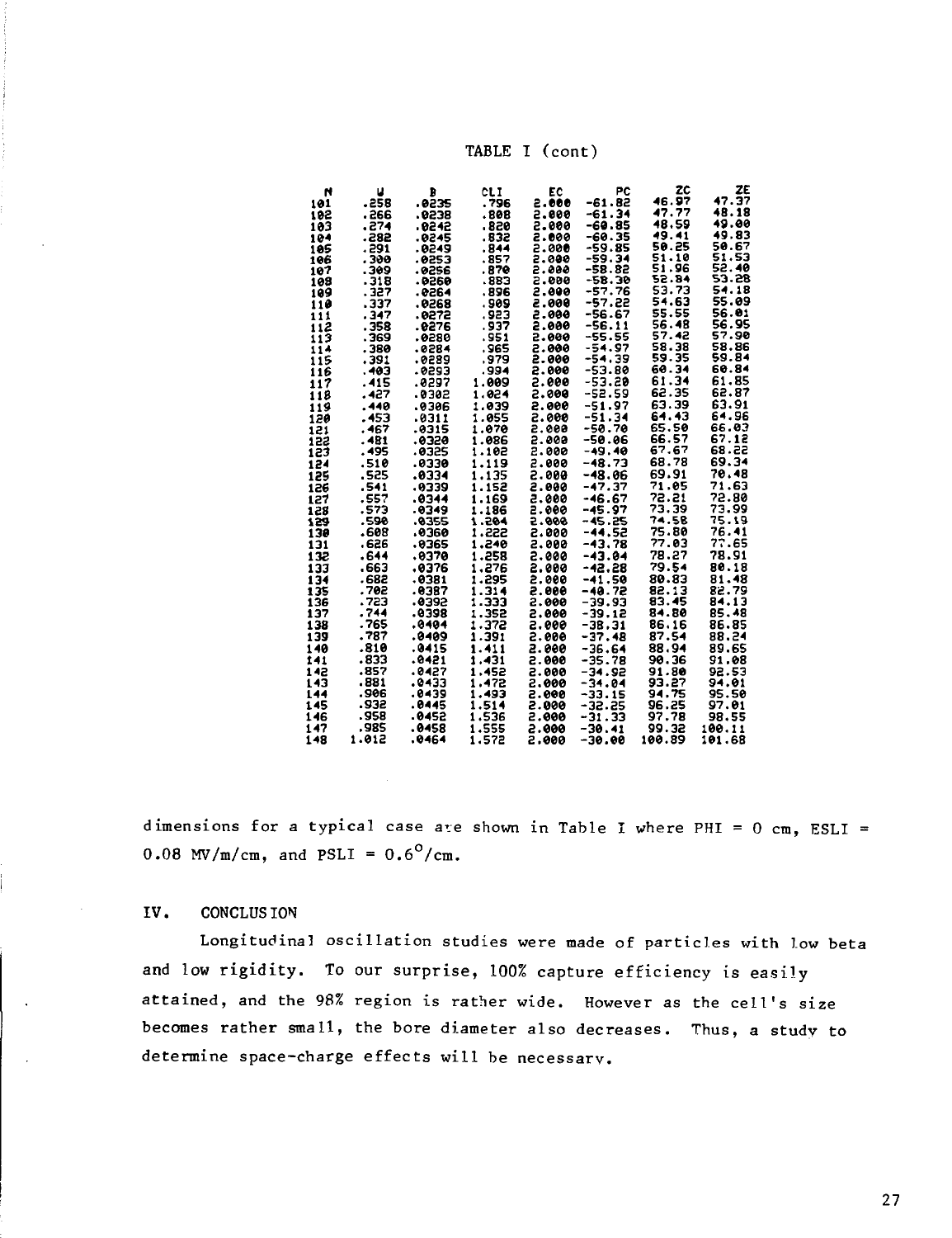TABLE I (cont)

| N   | U     | B      | <b>CLI</b> | EC     | РC       | 2C     | ZE     |
|-----|-------|--------|------------|--------|----------|--------|--------|
| 101 | .258  | .0235  | . 796      | 2.000  | -61.82   | 46.97  | 47.37  |
| 192 |       |        | .808       | 5.606  | -61.34   | 47.77  | 48.18  |
|     | . 266 | .0238  |            |        |          | 48.59  | 49.00  |
| 103 | .274  | . 6242 | 820.       | 2.000  | -60.85   |        |        |
| 104 | -282  | .0245  | .832       | 2.000  | -60.35   | 49.41  | 49.83  |
| 105 | . 291 | .0249  | .844       | 5.000  | -59.85   | 50.25  | 50.67  |
| 106 | . 390 | .0253  | .857       | 2.000  | -59.34   | 51.10  | 51.53  |
| 107 | . 309 | .0256  | . 870      | 2.000  | -58.82   | 51.96  | 52.40  |
| 108 | .318  | - 9560 | -883       | 569.5  | -58.30   | 52.84  | 53.28  |
| 189 | . 327 | - 9564 | . 896      | 2.000  | -57.76   | 53.73  | 54.18  |
| 110 | .337  | .0268  | . 909      | 800. 2 | -57.22   | 54.63  | 55.09  |
|     |       |        |            |        |          | 55.55  | 56.01  |
| 111 | . 347 | .0272  | .923       | 2.000  | -56.67   | 56.48  | 56.95  |
| 112 | . 358 | . 0276 | .937       | 2.000  | $-56.11$ |        |        |
| 113 | . 369 | .0280  | .951       | 5.000  | $-55.55$ | 57.42  | 57.90  |
| 114 | 380 . | .0284  | .965       | 2.000  | $-54.97$ | 58.38  | 58.86  |
| 115 | . 391 | .0289  | .979       | 2.000  | -54.39   | 59.35  | 59.84  |
| 116 | .403  | .0293  | .994       | 2.000  | -53.80   | 60.34  | 60.84  |
| 117 | .415  | .0297  | 1.009      | 5.660  | -53.20   | 61.34  | 61.85  |
| 118 | .427  | -0302  | 1.024      | 5.000  | -52.59   | 62.35  | 62.87  |
|     |       |        |            |        |          | 63.39  | 63.91  |
| 119 | .440  | .0306  | 1.039      | 2.000  | $-51.97$ |        |        |
| 120 | . 453 | .0311  | 1.055      | 2.000  | -51.34   | 64.43  | 64.96  |
| 121 | . 467 | .0315  | 1.070      | 2.000  | $-50.70$ | 65.50  | 66.03  |
| 153 | . 481 | 8320ء  | 1.086      | 2.000  | $-50.06$ | 66.57  | 67.12  |
| 123 | . 495 | .0325  | 1.102      | 2.000  | $-49.40$ | 67.67  | 55.83  |
| 124 | .510  | 6569.  | 1.119      | 2.000  | $-48.73$ | 68.78  | 69.34  |
| 125 | .525  | .0334  | 1.135      | 2.000  | $-48.06$ | 69.91  | 70.48  |
|     |       |        |            |        |          | 71.05  | 71.63  |
| 126 | .541  | .0339  | 1.152      | 2.000  | $-47.37$ |        |        |
| 127 | .557  | .0344  | 1.169      | 5.000  | $-46.67$ | 72.21  | 72.80  |
| 128 | .573  | .0349  | 1.186      | 2.000  | -45.97   | 73.39  | 73.99  |
| 129 | .590  | .0355  | 1.204      | -006.5 | $-45.25$ | 74.58  | 75.19  |
| 130 | .608  | 9360.  | 1.222      | 2.000  | -44.52   | 75.80  | 76.41  |
| 131 | . 626 | .0365  | 1.240      | 2.000  | $-43,78$ | 77.03  | 77.65  |
| 132 | .644  | .0370  | 1.258      | 2.000  | $-43.04$ | 78.27  | 78.91  |
| 133 | .663  | .0376  | 1,276      | 2.000  | -42.28   | 79.54  | 80.18  |
|     |       |        |            |        |          |        |        |
| 134 | . 682 | .0381  | 1.295      | 2.000  | $-41.50$ | 80.83  | 81.48  |
| 135 | .702  | .0387  | 1.314      | 2.000  | -40.72   | 82.13  | 82.79  |
| 136 | .723  | -0392  | 1.333      | 2.000  | -39.93   | 83.45  | 84.13  |
| 137 | .744  | .0398  | 1.352      | 2.000  | -39.12   | 84.80  | 85.48  |
| 138 | . 765 | .0404  | 1.372      | 2.000  | $-38.31$ | 86.16  | 86.85  |
| 139 | . 787 | .0409  | 1.391      | 2.000  | $-37.48$ | 87.54  | 88.24  |
| 140 | .810  | .0415  | 1.411      | 2.000  | $-36.64$ | 88.94  | 89.65  |
|     | .833  | . 0421 | 1.431      |        |          | 90.36  | 91.08  |
| 141 |       |        |            | 5000.5 | $-35.78$ |        |        |
| 142 | .857  | .0427  | 1.452      | 5.000  | -34.92   | 91.80  | 92.53  |
| 143 | .881  | .0433  | 1.472      | 2.000  | $-34.04$ | 93.27  | 94.01  |
| 144 | .906  | .0439  | 1.493      | 8.000  | $-33.15$ | 94.75  | 95.50  |
| 145 | .932  | .0445  | 1.514      | 2.000  | -32.25   | 96.25  | 97.01  |
| 146 | .958  | . 0452 | 1.536      | 2.000  | -31.33   | 97.78  | 98.55  |
| 147 | .985  | .0458  | 1.555      | 2.000  | $-30.41$ | 99.32  | 100.11 |
| 148 | 1.012 | .0464  | 1.572      | 2.000  | -30.00   | 100.89 | 101.68 |

dimensions for a typical case are shown in Table I where PHI =  $0 \text{ cm}$ , ESLI = 0.08 MV/m/cm, and PSLI =  $0.6^{\circ}/\text{cm}$ .

## IV. **CONCLUS ION**

Longitudinal oscillation studies were made of particles with low beta and low rigidity. To our surprise, 100% capture efficiency is easily attained, and the 98% region is rather wide. However as the cell's size becomes rather small, the bore diameter also decreases. Thus, a study to determine space-charge effects will be necessary.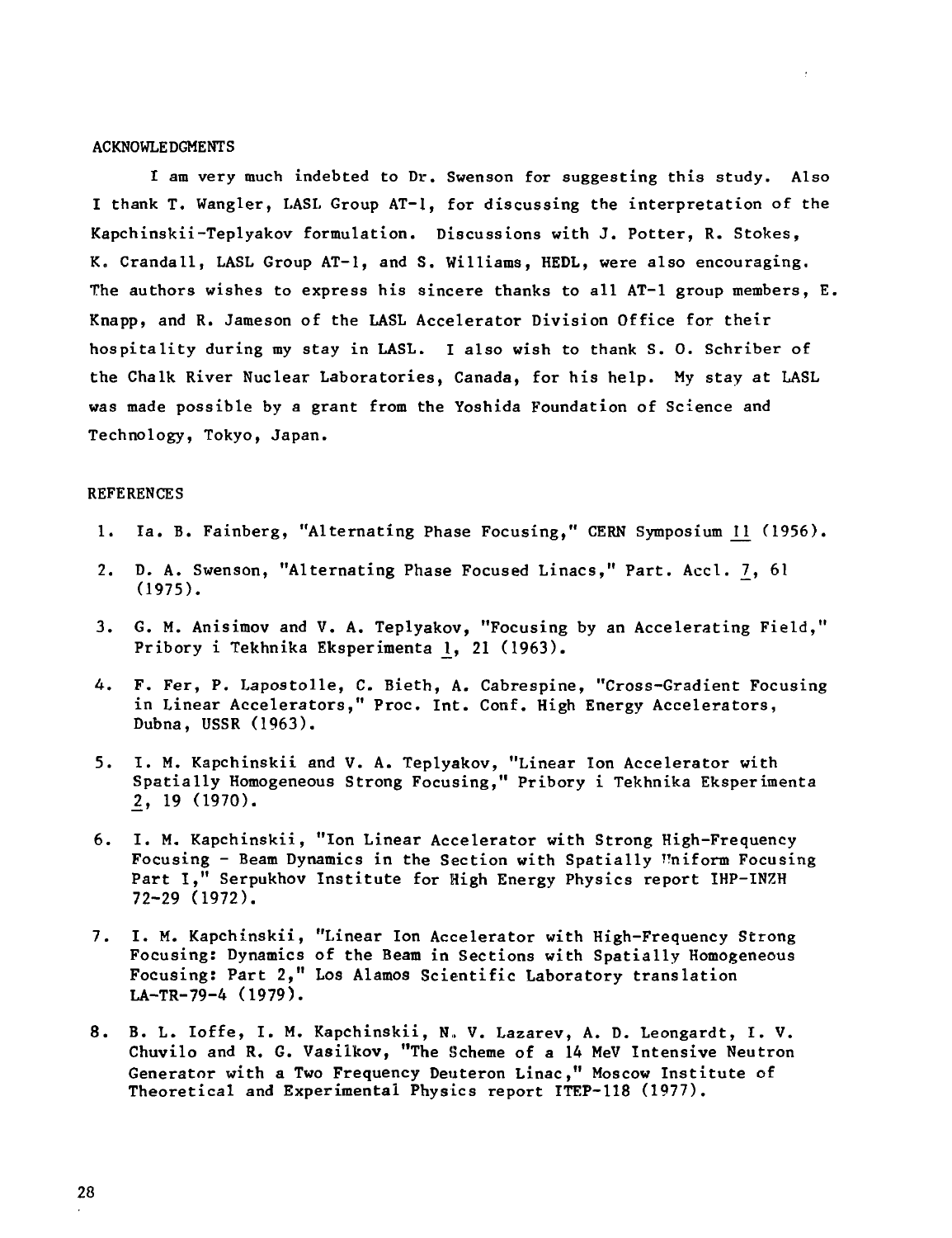## ACKNOWLEDGMENTS

I am very much indebted to Dr. Swenson for suggesting this study. Also I thank T. Wangler, LASL Group AT-l, for discussing the interpretation of the Kapchinskii-Teplyakov formulation. Discussions with J. Potter, R. Stokes, K. Crandall, LASL Group AT-l, and S. Williams, HEDL, were also encouraging. The authors wishes to express his sincere thanks to all AT-l group members, E. Knapp, and R. Jameson of the LASL Accelerator Division Office for their hospitality during my stay in LASL. I also wish to thank S. 0. Schriber of the Chalk River Nuclear Laboratories, Canada, for his help. My stay at LASL was made possible by a grant from the Yoshida Foundation of Science and Technology, Tokyo, Japan.

## **REFERENCES**

- 1. Ia. B. Fainberg, "Alternating Phase Focusing," CERN Symposium 11 (1956).
- 2. D. A. Swenson, "Alternating Phase Focused Linacs," Part. Accl. 7, 61 (1975).
- 3. G. M. Anisimov and V. A. Teplyakov, "Focusing by an Accelerating Field," Pribory i Tekhnika Eksperimenta 1, 21 (1963).
- 4. F. Fer, P. Lapostolle, C. Bieth, A. Cabrespine, "Cross-Gradient Focusing in Linear Accelerators," Proc. Int. Conf. High Energy Accelerators, Dubna, USSR (1963).
- 5. I. M. Kapchinskii and V. A. Teplyakov, "Linear Ton Accelerator with Spatially Homogeneous Strong Focusing," Pribory i Tekhnika Eksperimenta 2, 19 (1970).
- 6. I. M. Kapchinskii, "Ion Linear Accelerator with Strong High-Frequency Focusing - Beam Dynamics in the Section with Spatially Uniform Focusing Part I," Serpukhov Institute for High Energy Physics report IHP-INZH 72-29 (1972).
- 7. I. M. Kapchinskii, "Linear Ion Accelerator with High-Frequency Strong Focusing: Dynamics of the Beam in Sections with Spatially Homogeneous Focusing: Part 2," Los Alamos Scientific Laboratory translation LA-TR-79-4 (1979).
- 8. B. L. Ioffe, I. M. Kapchinskii, N, V. Lazarev, A. D. Leongardt, I. V. Chuvilo and R. G. Vasilkov, "The Scheme of a 14 MeV Intensive Neutron Generator with a Two Frequency Deuteron Linac," Moscow Institute of Theoretical and Experimental Physics report ITEP-118 (1977).